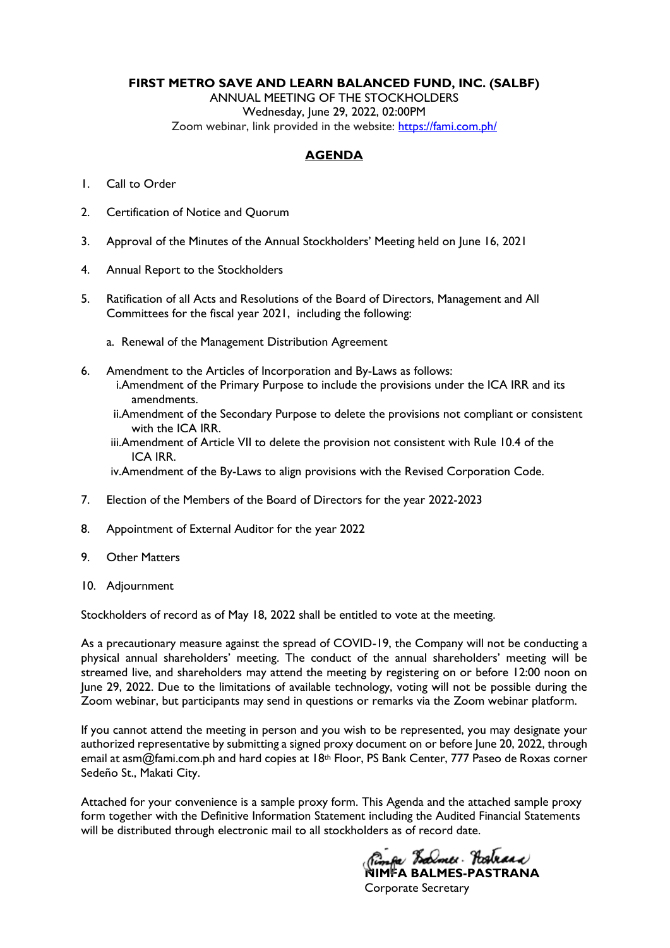#### **FIRST METRO SAVE AND LEARN BALANCED FUND, INC. (SALBF)**

ANNUAL MEETING OF THE STOCKHOLDERS Wednesday, June 29, 2022, 02:00PM Zoom webinar, link provided in the website: [https://fami.com.ph/](https://fami.com.ph/tag/pressroom/)

## **AGENDA**

- 1. Call to Order
- 2. Certification of Notice and Quorum
- 3. Approval of the Minutes of the Annual Stockholders' Meeting held on June 16, 2021
- 4. Annual Report to the Stockholders
- 5. Ratification of all Acts and Resolutions of the Board of Directors, Management and All Committees for the fiscal year 2021, including the following:
	- a. Renewal of the Management Distribution Agreement
- 6. Amendment to the Articles of Incorporation and By-Laws as follows: i.Amendment of the Primary Purpose to include the provisions under the ICA IRR and its amendments.
	- ii.Amendment of the Secondary Purpose to delete the provisions not compliant or consistent with the ICA IRR.
	- iii.Amendment of Article VII to delete the provision not consistent with Rule 10.4 of the ICA IRR.

iv.Amendment of the By-Laws to align provisions with the Revised Corporation Code.

- 7. Election of the Members of the Board of Directors for the year 2022-2023
- 8. Appointment of External Auditor for the year 2022
- 9. Other Matters
- 10. Adjournment

Stockholders of record as of May 18, 2022 shall be entitled to vote at the meeting.

As a precautionary measure against the spread of COVID-19, the Company will not be conducting a physical annual shareholders' meeting. The conduct of the annual shareholders' meeting will be streamed live, and shareholders may attend the meeting by registering on or before 12:00 noon on June 29, 2022. Due to the limitations of available technology, voting will not be possible during the Zoom webinar, but participants may send in questions or remarks via the Zoom webinar platform.

If you cannot attend the meeting in person and you wish to be represented, you may designate your authorized representative by submitting a signed proxy document on or before June 20, 2022, through email at asm@fami.com.ph and hard copies at 18<sup>th</sup> Floor, PS Bank Center, 777 Paseo de Roxas corner Sedeño St., Makati City.

Attached for your convenience is a sample proxy form. This Agenda and the attached sample proxy form together with the Definitive Information Statement including the Audited Financial Statements will be distributed through electronic mail to all stockholders as of record date.

*Nimfa Balmer* Bahrara<br>NIMFA BALMES-PASTRANA

Corporate Secretary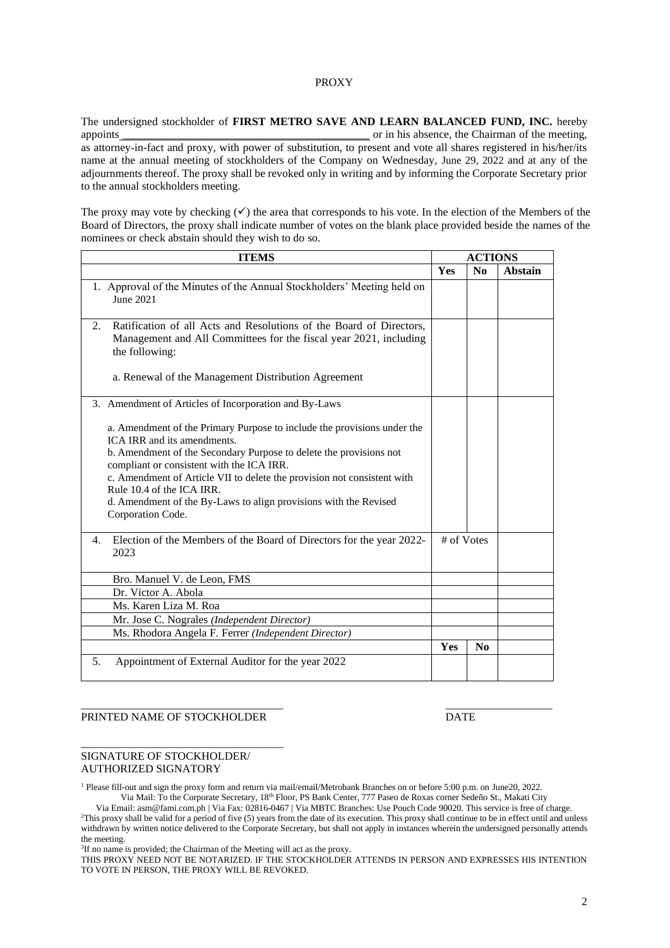#### PROXY

The undersigned stockholder of **FIRST METRO SAVE AND LEARN BALANCED FUND, INC.** hereby appoints and appoints and appoints of the meeting,  $\alpha$  in his absence, the Chairman of the meeting, as attorney-in-fact and proxy, with power of substitution, to present and vote all shares registered in his/her/its name at the annual meeting of stockholders of the Company on Wednesday, June 29, 2022 and at any of the adjournments thereof. The proxy shall be revoked only in writing and by informing the Corporate Secretary prior to the annual stockholders meeting.

The proxy may vote by checking  $(\checkmark)$  the area that corresponds to his vote. In the election of the Members of the Board of Directors, the proxy shall indicate number of votes on the blank place provided beside the names of the nominees or check abstain should they wish to do so.

| <b>ITEMS</b>                                                                                                                                                                                                                                                                                                                                                                                                               |            | <b>ACTIONS</b>         |                |
|----------------------------------------------------------------------------------------------------------------------------------------------------------------------------------------------------------------------------------------------------------------------------------------------------------------------------------------------------------------------------------------------------------------------------|------------|------------------------|----------------|
|                                                                                                                                                                                                                                                                                                                                                                                                                            | Yes        | $\mathbf{N}\mathbf{0}$ | <b>Abstain</b> |
| 1. Approval of the Minutes of the Annual Stockholders' Meeting held on<br>June 2021                                                                                                                                                                                                                                                                                                                                        |            |                        |                |
| Ratification of all Acts and Resolutions of the Board of Directors,<br>2.<br>Management and All Committees for the fiscal year 2021, including<br>the following:                                                                                                                                                                                                                                                           |            |                        |                |
| a. Renewal of the Management Distribution Agreement                                                                                                                                                                                                                                                                                                                                                                        |            |                        |                |
| 3. Amendment of Articles of Incorporation and By-Laws                                                                                                                                                                                                                                                                                                                                                                      |            |                        |                |
| a. Amendment of the Primary Purpose to include the provisions under the<br>ICA IRR and its amendments.<br>b. Amendment of the Secondary Purpose to delete the provisions not<br>compliant or consistent with the ICA IRR.<br>c. Amendment of Article VII to delete the provision not consistent with<br>Rule 10.4 of the ICA IRR.<br>d. Amendment of the By-Laws to align provisions with the Revised<br>Corporation Code. |            |                        |                |
| Election of the Members of the Board of Directors for the year 2022-<br>4.<br>2023                                                                                                                                                                                                                                                                                                                                         | # of Votes |                        |                |
| Bro. Manuel V. de Leon, FMS                                                                                                                                                                                                                                                                                                                                                                                                |            |                        |                |
| Dr. Victor A. Abola                                                                                                                                                                                                                                                                                                                                                                                                        |            |                        |                |
| Ms. Karen Liza M. Roa                                                                                                                                                                                                                                                                                                                                                                                                      |            |                        |                |
| Mr. Jose C. Nograles (Independent Director)                                                                                                                                                                                                                                                                                                                                                                                |            |                        |                |
| Ms. Rhodora Angela F. Ferrer (Independent Director)                                                                                                                                                                                                                                                                                                                                                                        |            |                        |                |
|                                                                                                                                                                                                                                                                                                                                                                                                                            | Yes        | $\bf N$ <sub>0</sub>   |                |
| Appointment of External Auditor for the year 2022<br>5.                                                                                                                                                                                                                                                                                                                                                                    |            |                        |                |

#### PRINTED NAME OF STOCKHOLDER DATE

\_\_\_\_\_\_\_\_\_\_\_\_\_\_\_\_\_\_\_\_\_\_\_\_\_\_\_\_\_\_\_\_\_\_\_\_

#### SIGNATURE OF STOCKHOLDER/ AUTHORIZED SIGNATORY

<sup>1</sup> Please fill-out and sign the proxy form and return via mail/email/Metrobank Branches on or before 5:00 p.m. on June20, 2022. Via Mail: To the Corporate Secretary, 18th Floor, PS Bank Center, 777 Paseo de Roxas corner Sedeño St., Makati City

\_\_\_\_\_\_\_\_\_\_\_\_\_\_\_\_\_\_\_\_\_\_\_\_\_\_\_\_\_\_\_\_\_\_\_\_ \_\_\_\_\_\_\_\_\_\_\_\_\_\_\_\_\_\_\_

Via Email: asm@fami.com.ph | Via Fax: 02816-0467 | Via MBTC Branches: Use Pouch Code 90020. This service is free of charge. <sup>2</sup>This proxy shall be valid for a period of five (5) years from the date of its execution. This proxy shall continue to be in effect until and unless withdrawn by written notice delivered to the Corporate Secretary, but shall not apply in instances wherein the undersigned personally attends the meeting.

<sup>3</sup>If no name is provided; the Chairman of the Meeting will act as the proxy.

THIS PROXY NEED NOT BE NOTARIZED. IF THE STOCKHOLDER ATTENDS IN PERSON AND EXPRESSES HIS INTENTION TO VOTE IN PERSON, THE PROXY WILL BE REVOKED.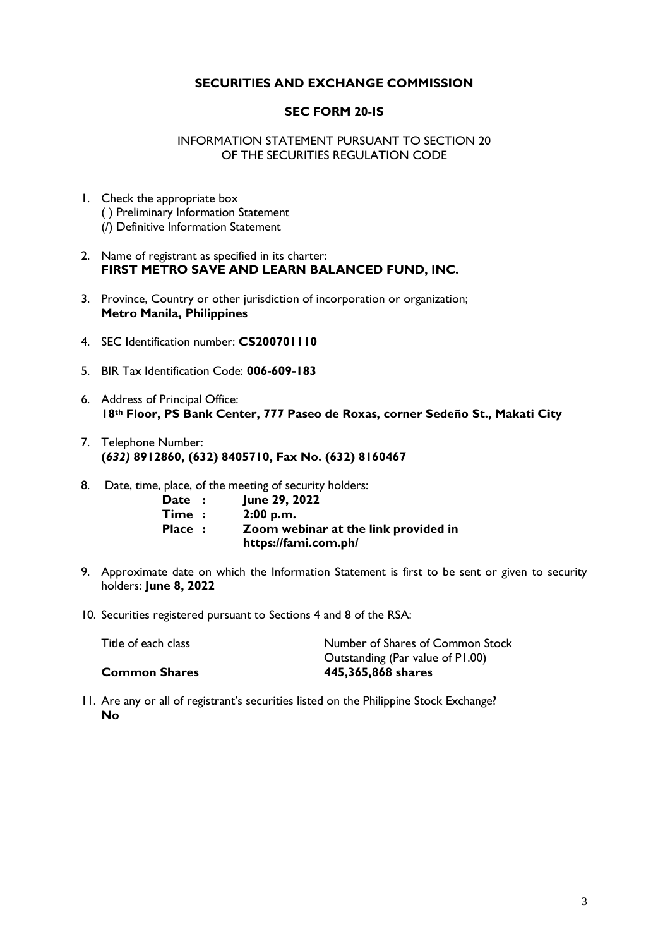# **SECURITIES AND EXCHANGE COMMISSION**

## **SEC FORM 20-IS**

INFORMATION STATEMENT PURSUANT TO SECTION 20 OF THE SECURITIES REGULATION CODE

- 1. Check the appropriate box ( ) Preliminary Information Statement (/) Definitive Information Statement
- 2. Name of registrant as specified in its charter: **FIRST METRO SAVE AND LEARN BALANCED FUND, INC.**
- 3. Province, Country or other jurisdiction of incorporation or organization; **Metro Manila, Philippines**
- 4. SEC Identification number: **CS200701110**
- 5. BIR Tax Identification Code: **006-609-183**
- 6. Address of Principal Office: **18th Floor, PS Bank Center, 777 Paseo de Roxas, corner Sedeño St., Makati City**
- 7. Telephone Number: **(***632)* **8912860, (632) 8405710, Fax No. (632) 8160467**
- 8. Date, time, place, of the meeting of security holders:

| Date :               | June 29, 2022                        |
|----------------------|--------------------------------------|
| $\mathsf{Time} \; :$ | 2:00 p.m.                            |
| Place :              | Zoom webinar at the link provided in |
|                      | https://fami.com.ph/                 |

- 9. Approximate date on which the Information Statement is first to be sent or given to security holders: **June 8, 2022**
- 10. Securities registered pursuant to Sections 4 and 8 of the RSA:

| Title of each class  | Number of Shares of Common Stock |
|----------------------|----------------------------------|
|                      | Outstanding (Par value of P1.00) |
| <b>Common Shares</b> | 445,365,868 shares               |
|                      |                                  |

11. Are any or all of registrant's securities listed on the Philippine Stock Exchange? **No**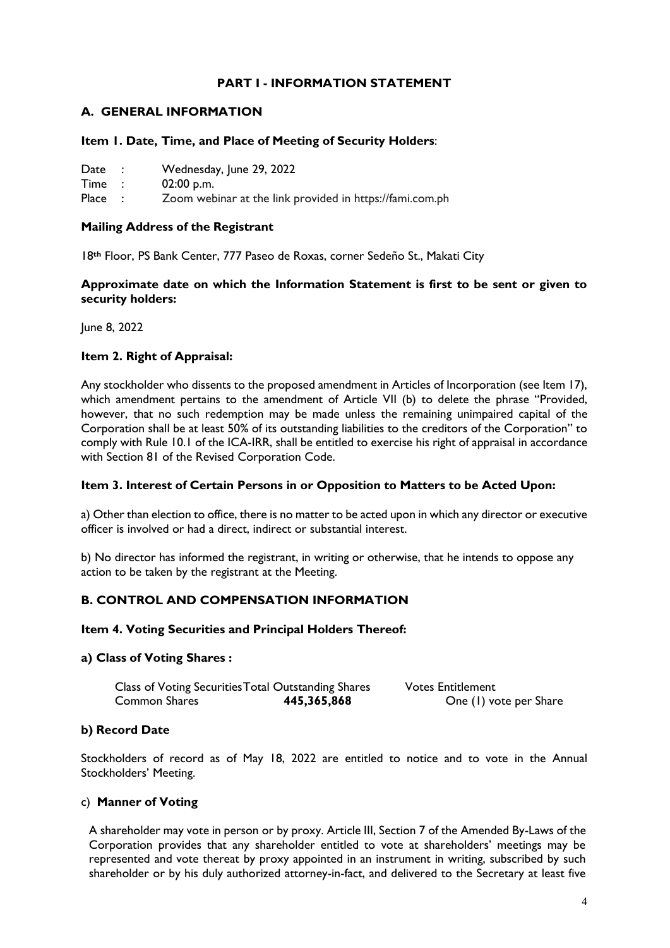# **PART I - INFORMATION STATEMENT**

# **A. GENERAL INFORMATION**

#### **Item 1. Date, Time, and Place of Meeting of Security Holders**:

| Wednesday, June 29, 2022<br>Date |  |
|----------------------------------|--|
|----------------------------------|--|

Time : 02:00 p.m.

Place : Zoom webinar at the link provided in https://fami.com.ph

## **Mailing Address of the Registrant**

18**th** Floor, PS Bank Center, 777 Paseo de Roxas, corner Sedeño St., Makati City

## **Approximate date on which the Information Statement is first to be sent or given to security holders:**

June 8, 2022

#### **Item 2. Right of Appraisal:**

Any stockholder who dissents to the proposed amendment in Articles of Incorporation (see Item 17), which amendment pertains to the amendment of Article VII (b) to delete the phrase "Provided, however, that no such redemption may be made unless the remaining unimpaired capital of the Corporation shall be at least 50% of its outstanding liabilities to the creditors of the Corporation" to comply with Rule 10.1 of the ICA-IRR, shall be entitled to exercise his right of appraisal in accordance with Section 81 of the Revised Corporation Code.

#### **Item 3. Interest of Certain Persons in or Opposition to Matters to be Acted Upon:**

a) Other than election to office, there is no matter to be acted upon in which any director or executive officer is involved or had a direct, indirect or substantial interest.

b) No director has informed the registrant, in writing or otherwise, that he intends to oppose any action to be taken by the registrant at the Meeting.

#### **B. CONTROL AND COMPENSATION INFORMATION**

#### **Item 4. Voting Securities and Principal Holders Thereof:**

#### **a) Class of Voting Shares :**

| Class of Voting Securities Total Outstanding Shares |             | <b>Votes Entitlement</b> |
|-----------------------------------------------------|-------------|--------------------------|
| Common Shares                                       | 445,365,868 | One (1) vote per Share   |

#### **b) Record Date**

Stockholders of record as of May 18, 2022 are entitled to notice and to vote in the Annual Stockholders' Meeting.

#### c) **Manner of Voting**

A shareholder may vote in person or by proxy. Article III, Section 7 of the Amended By-Laws of the Corporation provides that any shareholder entitled to vote at shareholders' meetings may be represented and vote thereat by proxy appointed in an instrument in writing, subscribed by such shareholder or by his duly authorized attorney-in-fact, and delivered to the Secretary at least five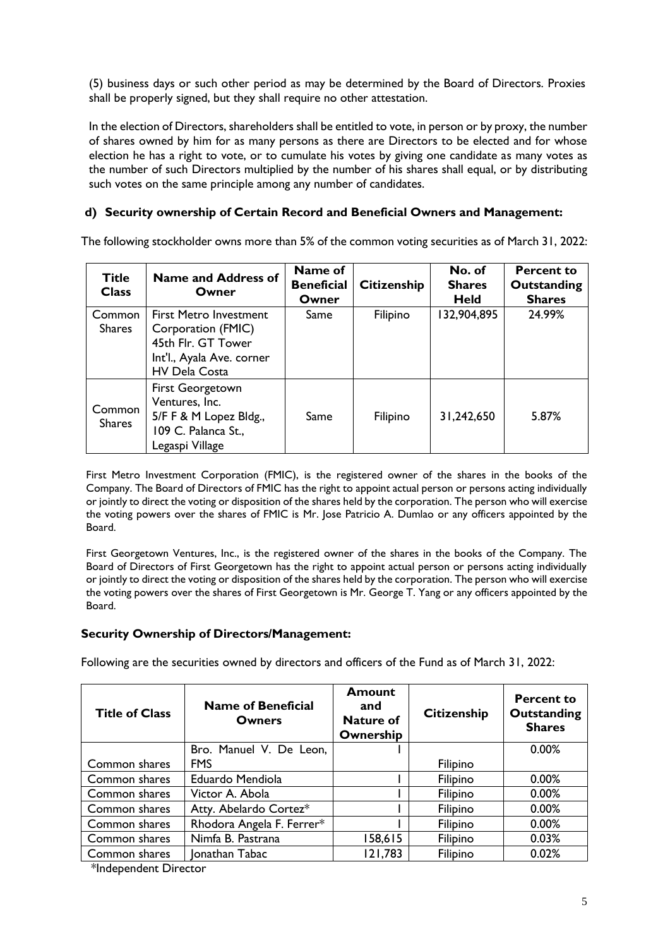(5) business days or such other period as may be determined by the Board of Directors. Proxies shall be properly signed, but they shall require no other attestation.

In the election of Directors, shareholders shall be entitled to vote, in person or by proxy, the number of shares owned by him for as many persons as there are Directors to be elected and for whose election he has a right to vote, or to cumulate his votes by giving one candidate as many votes as the number of such Directors multiplied by the number of his shares shall equal, or by distributing such votes on the same principle among any number of candidates.

# **d) Security ownership of Certain Record and Beneficial Owners and Management:**

The following stockholder owns more than 5% of the common voting securities as of March 31, 2022:

| <b>Title</b><br><b>Class</b> | <b>Name and Address of</b><br>Owner                                                                                            | Name of<br><b>Beneficial</b><br>Owner | <b>Citizenship</b> | No. of<br><b>Shares</b><br><b>Held</b> | <b>Percent to</b><br>Outstanding<br><b>Shares</b> |
|------------------------------|--------------------------------------------------------------------------------------------------------------------------------|---------------------------------------|--------------------|----------------------------------------|---------------------------------------------------|
| Common<br><b>Shares</b>      | <b>First Metro Investment</b><br>Corporation (FMIC)<br>45th Flr. GT Tower<br>Int'l., Ayala Ave. corner<br><b>HV Dela Costa</b> | Same                                  | Filipino           | 132,904,895                            | 24.99%                                            |
| Common<br><b>Shares</b>      | First Georgetown<br>Ventures, Inc.<br>5/F F & M Lopez Bldg.,<br>109 C. Palanca St.,<br>Legaspi Village                         | Same                                  | Filipino           | 31,242,650                             | 5.87%                                             |

First Metro Investment Corporation (FMIC), is the registered owner of the shares in the books of the Company. The Board of Directors of FMIC has the right to appoint actual person or persons acting individually or jointly to direct the voting or disposition of the shares held by the corporation. The person who will exercise the voting powers over the shares of FMIC is Mr. Jose Patricio A. Dumlao or any officers appointed by the Board.

First Georgetown Ventures, Inc., is the registered owner of the shares in the books of the Company. The Board of Directors of First Georgetown has the right to appoint actual person or persons acting individually or jointly to direct the voting or disposition of the shares held by the corporation. The person who will exercise the voting powers over the shares of First Georgetown is Mr. George T. Yang or any officers appointed by the Board.

# **Security Ownership of Directors/Management:**

Following are the securities owned by directors and officers of the Fund as of March 31, 2022:

| <b>Title of Class</b> | <b>Name of Beneficial</b><br>Owners | Amount<br>and<br><b>Nature of</b><br>Ownership | <b>Citizenship</b> | Percent to<br>Outstanding<br><b>Shares</b> |
|-----------------------|-------------------------------------|------------------------------------------------|--------------------|--------------------------------------------|
|                       | Bro. Manuel V. De Leon,             |                                                |                    | 0.00%                                      |
| Common shares         | <b>FMS</b>                          |                                                | Filipino           |                                            |
| Common shares         | Eduardo Mendiola                    |                                                | Filipino           | 0.00%                                      |
| Common shares         | Victor A. Abola                     |                                                | Filipino           | 0.00%                                      |
| Common shares         | Atty. Abelardo Cortez*              |                                                | Filipino           | 0.00%                                      |
| Common shares         | Rhodora Angela F. Ferrer*           |                                                | Filipino           | 0.00%                                      |
| Common shares         | Nimfa B. Pastrana                   | 158,615                                        | Filipino           | 0.03%                                      |
| Common shares         | Ionathan Tabac                      | 121,783                                        | Filipino           | 0.02%                                      |

\*Independent Director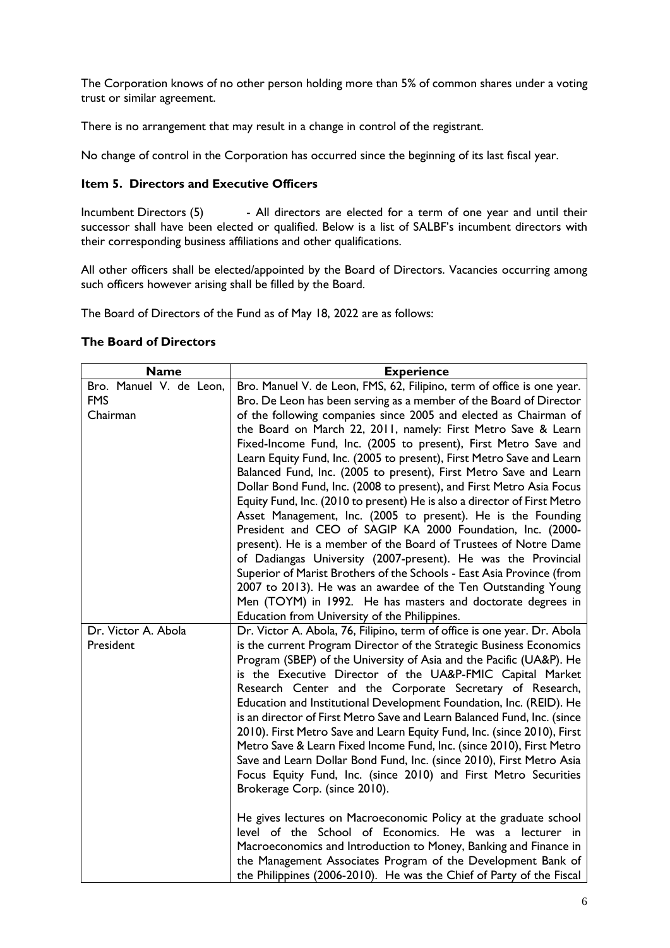The Corporation knows of no other person holding more than 5% of common shares under a voting trust or similar agreement.

There is no arrangement that may result in a change in control of the registrant.

No change of control in the Corporation has occurred since the beginning of its last fiscal year.

# **Item 5. Directors and Executive Officers**

Incumbent Directors (5) - All directors are elected for a term of one year and until their successor shall have been elected or qualified. Below is a list of SALBF's incumbent directors with their corresponding business affiliations and other qualifications.

All other officers shall be elected/appointed by the Board of Directors. Vacancies occurring among such officers however arising shall be filled by the Board.

The Board of Directors of the Fund as of May 18, 2022 are as follows:

#### **The Board of Directors**

| <b>Name</b>                                       | <b>Experience</b>                                                                                                                                                                                                                                                                                                                                                                                                                                                                                                                                                                                                                                                                                                                                                                                                                                                                                                                                                                                                                                                  |
|---------------------------------------------------|--------------------------------------------------------------------------------------------------------------------------------------------------------------------------------------------------------------------------------------------------------------------------------------------------------------------------------------------------------------------------------------------------------------------------------------------------------------------------------------------------------------------------------------------------------------------------------------------------------------------------------------------------------------------------------------------------------------------------------------------------------------------------------------------------------------------------------------------------------------------------------------------------------------------------------------------------------------------------------------------------------------------------------------------------------------------|
| Bro. Manuel V. de Leon,<br><b>FMS</b><br>Chairman | Bro. Manuel V. de Leon, FMS, 62, Filipino, term of office is one year.<br>Bro. De Leon has been serving as a member of the Board of Director<br>of the following companies since 2005 and elected as Chairman of<br>the Board on March 22, 2011, namely: First Metro Save & Learn<br>Fixed-Income Fund, Inc. (2005 to present), First Metro Save and<br>Learn Equity Fund, Inc. (2005 to present), First Metro Save and Learn<br>Balanced Fund, Inc. (2005 to present), First Metro Save and Learn<br>Dollar Bond Fund, Inc. (2008 to present), and First Metro Asia Focus<br>Equity Fund, Inc. (2010 to present) He is also a director of First Metro<br>Asset Management, Inc. (2005 to present). He is the Founding<br>President and CEO of SAGIP KA 2000 Foundation, Inc. (2000-<br>present). He is a member of the Board of Trustees of Notre Dame<br>of Dadiangas University (2007-present). He was the Provincial<br>Superior of Marist Brothers of the Schools - East Asia Province (from<br>2007 to 2013). He was an awardee of the Ten Outstanding Young |
|                                                   | Men (TOYM) in 1992. He has masters and doctorate degrees in<br>Education from University of the Philippines.                                                                                                                                                                                                                                                                                                                                                                                                                                                                                                                                                                                                                                                                                                                                                                                                                                                                                                                                                       |
| Dr. Victor A. Abola<br>President                  | Dr. Victor A. Abola, 76, Filipino, term of office is one year. Dr. Abola<br>is the current Program Director of the Strategic Business Economics<br>Program (SBEP) of the University of Asia and the Pacific (UA&P). He<br>is the Executive Director of the UA&P-FMIC Capital Market<br>Research Center and the Corporate Secretary of Research,<br>Education and Institutional Development Foundation, Inc. (REID). He<br>is an director of First Metro Save and Learn Balanced Fund, Inc. (since<br>2010). First Metro Save and Learn Equity Fund, Inc. (since 2010), First<br>Metro Save & Learn Fixed Income Fund, Inc. (since 2010), First Metro<br>Save and Learn Dollar Bond Fund, Inc. (since 2010), First Metro Asia<br>Focus Equity Fund, Inc. (since 2010) and First Metro Securities<br>Brokerage Corp. (since 2010).<br>He gives lectures on Macroeconomic Policy at the graduate school                                                                                                                                                               |
|                                                   | level of the School of Economics. He was a lecturer in<br>Macroeconomics and Introduction to Money, Banking and Finance in<br>the Management Associates Program of the Development Bank of<br>the Philippines (2006-2010). He was the Chief of Party of the Fiscal                                                                                                                                                                                                                                                                                                                                                                                                                                                                                                                                                                                                                                                                                                                                                                                                 |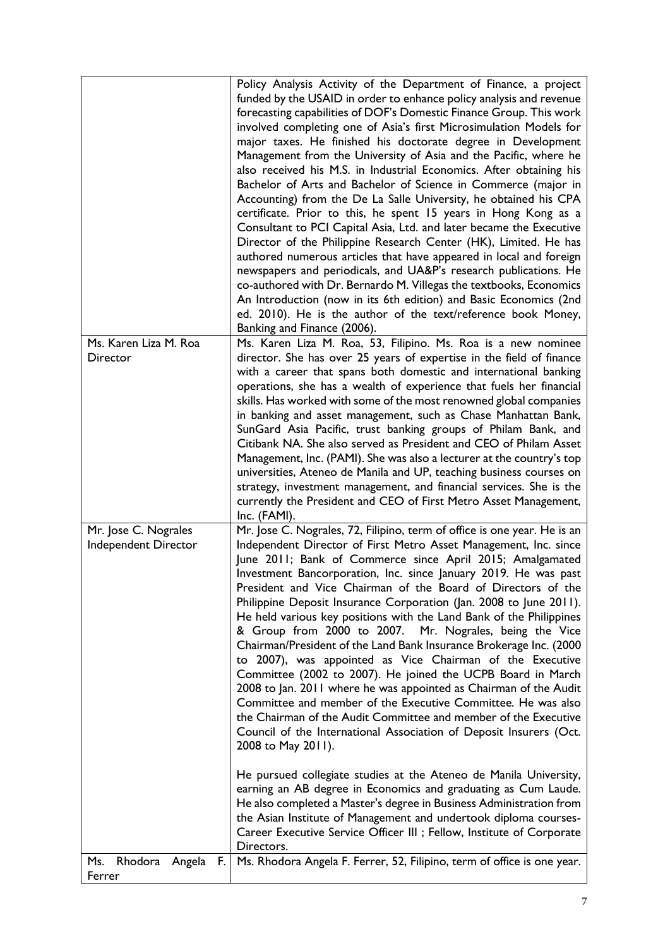|                                              | Policy Analysis Activity of the Department of Finance, a project<br>funded by the USAID in order to enhance policy analysis and revenue<br>forecasting capabilities of DOF's Domestic Finance Group. This work<br>involved completing one of Asia's first Microsimulation Models for<br>major taxes. He finished his doctorate degree in Development<br>Management from the University of Asia and the Pacific, where he<br>also received his M.S. in Industrial Economics. After obtaining his<br>Bachelor of Arts and Bachelor of Science in Commerce (major in<br>Accounting) from the De La Salle University, he obtained his CPA<br>certificate. Prior to this, he spent 15 years in Hong Kong as a<br>Consultant to PCI Capital Asia, Ltd. and later became the Executive<br>Director of the Philippine Research Center (HK), Limited. He has<br>authored numerous articles that have appeared in local and foreign<br>newspapers and periodicals, and UA&P's research publications. He<br>co-authored with Dr. Bernardo M. Villegas the textbooks, Economics<br>An Introduction (now in its 6th edition) and Basic Economics (2nd<br>ed. 2010). He is the author of the text/reference book Money,<br>Banking and Finance (2006).                                                                                                                                                                                            |
|----------------------------------------------|-------------------------------------------------------------------------------------------------------------------------------------------------------------------------------------------------------------------------------------------------------------------------------------------------------------------------------------------------------------------------------------------------------------------------------------------------------------------------------------------------------------------------------------------------------------------------------------------------------------------------------------------------------------------------------------------------------------------------------------------------------------------------------------------------------------------------------------------------------------------------------------------------------------------------------------------------------------------------------------------------------------------------------------------------------------------------------------------------------------------------------------------------------------------------------------------------------------------------------------------------------------------------------------------------------------------------------------------------------------------------------------------------------------------------------------|
| Ms. Karen Liza M. Roa<br>Director            | Ms. Karen Liza M. Roa, 53, Filipino. Ms. Roa is a new nominee<br>director. She has over 25 years of expertise in the field of finance<br>with a career that spans both domestic and international banking<br>operations, she has a wealth of experience that fuels her financial<br>skills. Has worked with some of the most renowned global companies<br>in banking and asset management, such as Chase Manhattan Bank,<br>SunGard Asia Pacific, trust banking groups of Philam Bank, and<br>Citibank NA. She also served as President and CEO of Philam Asset<br>Management, Inc. (PAMI). She was also a lecturer at the country's top<br>universities, Ateneo de Manila and UP, teaching business courses on<br>strategy, investment management, and financial services. She is the<br>currently the President and CEO of First Metro Asset Management,<br>Inc. (FAMI).                                                                                                                                                                                                                                                                                                                                                                                                                                                                                                                                                          |
| Mr. Jose C. Nograles<br>Independent Director | Mr. Jose C. Nograles, 72, Filipino, term of office is one year. He is an<br>Independent Director of First Metro Asset Management, Inc. since<br>June 2011; Bank of Commerce since April 2015; Amalgamated<br>Investment Bancorporation, Inc. since January 2019. He was past<br>President and Vice Chairman of the Board of Directors of the<br>Philippine Deposit Insurance Corporation (Jan. 2008 to June 2011).<br>He held various key positions with the Land Bank of the Philippines<br>& Group from 2000 to 2007. Mr. Nograles, being the Vice<br>Chairman/President of the Land Bank Insurance Brokerage Inc. (2000<br>to 2007), was appointed as Vice Chairman of the Executive<br>Committee (2002 to 2007). He joined the UCPB Board in March<br>2008 to Jan. 2011 where he was appointed as Chairman of the Audit<br>Committee and member of the Executive Committee. He was also<br>the Chairman of the Audit Committee and member of the Executive<br>Council of the International Association of Deposit Insurers (Oct.<br>2008 to May 2011).<br>He pursued collegiate studies at the Ateneo de Manila University,<br>earning an AB degree in Economics and graduating as Cum Laude.<br>He also completed a Master's degree in Business Administration from<br>the Asian Institute of Management and undertook diploma courses-<br>Career Executive Service Officer III ; Fellow, Institute of Corporate<br>Directors. |
| Rhodora Angela<br>F.<br>Ms.<br>Ferrer        | Ms. Rhodora Angela F. Ferrer, 52, Filipino, term of office is one year.                                                                                                                                                                                                                                                                                                                                                                                                                                                                                                                                                                                                                                                                                                                                                                                                                                                                                                                                                                                                                                                                                                                                                                                                                                                                                                                                                             |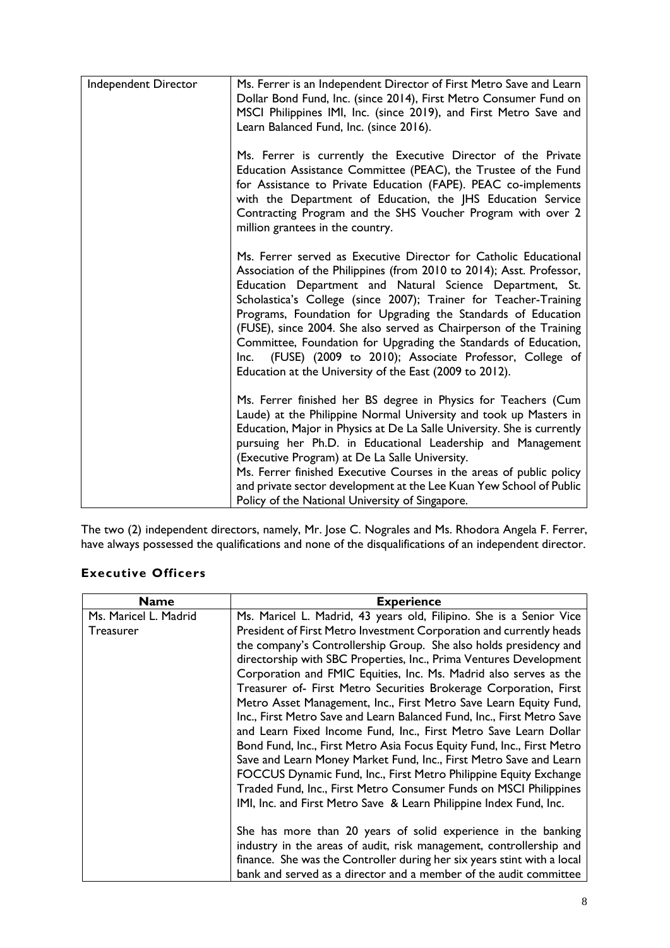| Independent Director | Ms. Ferrer is an Independent Director of First Metro Save and Learn<br>Dollar Bond Fund, Inc. (since 2014), First Metro Consumer Fund on<br>MSCI Philippines IMI, Inc. (since 2019), and First Metro Save and<br>Learn Balanced Fund, Inc. (since 2016).                                                                                                                                                                                                                                                                                                                                                     |
|----------------------|--------------------------------------------------------------------------------------------------------------------------------------------------------------------------------------------------------------------------------------------------------------------------------------------------------------------------------------------------------------------------------------------------------------------------------------------------------------------------------------------------------------------------------------------------------------------------------------------------------------|
|                      | Ms. Ferrer is currently the Executive Director of the Private<br>Education Assistance Committee (PEAC), the Trustee of the Fund<br>for Assistance to Private Education (FAPE). PEAC co-implements<br>with the Department of Education, the JHS Education Service<br>Contracting Program and the SHS Voucher Program with over 2<br>million grantees in the country.                                                                                                                                                                                                                                          |
|                      | Ms. Ferrer served as Executive Director for Catholic Educational<br>Association of the Philippines (from 2010 to 2014); Asst. Professor,<br>Education Department and Natural Science Department, St.<br>Scholastica's College (since 2007); Trainer for Teacher-Training<br>Programs, Foundation for Upgrading the Standards of Education<br>(FUSE), since 2004. She also served as Chairperson of the Training<br>Committee, Foundation for Upgrading the Standards of Education,<br>Inc. (FUSE) (2009 to 2010); Associate Professor, College of<br>Education at the University of the East (2009 to 2012). |
|                      | Ms. Ferrer finished her BS degree in Physics for Teachers (Cum<br>Laude) at the Philippine Normal University and took up Masters in<br>Education, Major in Physics at De La Salle University. She is currently<br>pursuing her Ph.D. in Educational Leadership and Management<br>(Executive Program) at De La Salle University.<br>Ms. Ferrer finished Executive Courses in the areas of public policy                                                                                                                                                                                                       |
|                      | and private sector development at the Lee Kuan Yew School of Public<br>Policy of the National University of Singapore.                                                                                                                                                                                                                                                                                                                                                                                                                                                                                       |

The two (2) independent directors, namely, Mr. Jose C. Nograles and Ms. Rhodora Angela F. Ferrer, have always possessed the qualifications and none of the disqualifications of an independent director.

# **Executive Officers**

| Name                  | <b>Experience</b>                                                       |
|-----------------------|-------------------------------------------------------------------------|
| Ms. Maricel L. Madrid | Ms. Maricel L. Madrid, 43 years old, Filipino. She is a Senior Vice     |
| <b>Treasurer</b>      | President of First Metro Investment Corporation and currently heads     |
|                       | the company's Controllership Group. She also holds presidency and       |
|                       | directorship with SBC Properties, Inc., Prima Ventures Development      |
|                       | Corporation and FMIC Equities, Inc. Ms. Madrid also serves as the       |
|                       | Treasurer of- First Metro Securities Brokerage Corporation, First       |
|                       | Metro Asset Management, Inc., First Metro Save Learn Equity Fund,       |
|                       | Inc., First Metro Save and Learn Balanced Fund, Inc., First Metro Save  |
|                       | and Learn Fixed Income Fund, Inc., First Metro Save Learn Dollar        |
|                       | Bond Fund, Inc., First Metro Asia Focus Equity Fund, Inc., First Metro  |
|                       | Save and Learn Money Market Fund, Inc., First Metro Save and Learn      |
|                       | FOCCUS Dynamic Fund, Inc., First Metro Philippine Equity Exchange       |
|                       | Traded Fund, Inc., First Metro Consumer Funds on MSCI Philippines       |
|                       | IMI, Inc. and First Metro Save & Learn Philippine Index Fund, Inc.      |
|                       |                                                                         |
|                       | She has more than 20 years of solid experience in the banking           |
|                       | industry in the areas of audit, risk management, controllership and     |
|                       | finance. She was the Controller during her six years stint with a local |
|                       | bank and served as a director and a member of the audit committee       |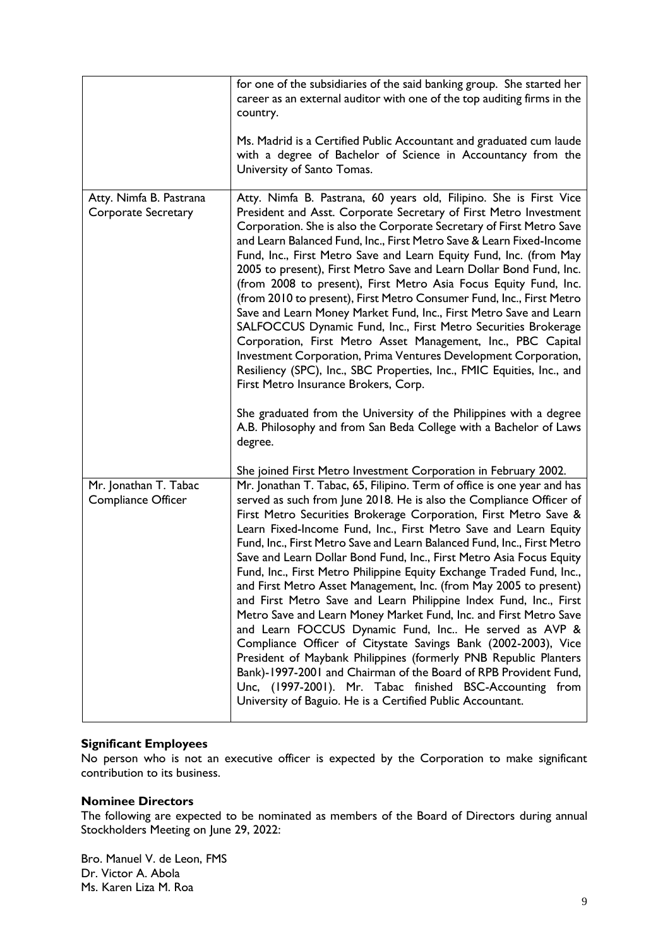|                                                | for one of the subsidiaries of the said banking group. She started her<br>career as an external auditor with one of the top auditing firms in the<br>country.<br>Ms. Madrid is a Certified Public Accountant and graduated cum laude<br>with a degree of Bachelor of Science in Accountancy from the<br>University of Santo Tomas.                                                                                                                                                                                                                                                                                                                                                                                                                                                                                                                                                                                                                                                                                                                                                                                                  |
|------------------------------------------------|-------------------------------------------------------------------------------------------------------------------------------------------------------------------------------------------------------------------------------------------------------------------------------------------------------------------------------------------------------------------------------------------------------------------------------------------------------------------------------------------------------------------------------------------------------------------------------------------------------------------------------------------------------------------------------------------------------------------------------------------------------------------------------------------------------------------------------------------------------------------------------------------------------------------------------------------------------------------------------------------------------------------------------------------------------------------------------------------------------------------------------------|
| Atty. Nimfa B. Pastrana<br>Corporate Secretary | Atty. Nimfa B. Pastrana, 60 years old, Filipino. She is First Vice<br>President and Asst. Corporate Secretary of First Metro Investment<br>Corporation. She is also the Corporate Secretary of First Metro Save<br>and Learn Balanced Fund, Inc., First Metro Save & Learn Fixed-Income<br>Fund, Inc., First Metro Save and Learn Equity Fund, Inc. (from May<br>2005 to present), First Metro Save and Learn Dollar Bond Fund, Inc.<br>(from 2008 to present), First Metro Asia Focus Equity Fund, Inc.<br>(from 2010 to present), First Metro Consumer Fund, Inc., First Metro<br>Save and Learn Money Market Fund, Inc., First Metro Save and Learn<br>SALFOCCUS Dynamic Fund, Inc., First Metro Securities Brokerage<br>Corporation, First Metro Asset Management, Inc., PBC Capital<br>Investment Corporation, Prima Ventures Development Corporation,<br>Resiliency (SPC), Inc., SBC Properties, Inc., FMIC Equities, Inc., and<br>First Metro Insurance Brokers, Corp.<br>She graduated from the University of the Philippines with a degree<br>A.B. Philosophy and from San Beda College with a Bachelor of Laws<br>degree. |
|                                                | She joined First Metro Investment Corporation in February 2002.                                                                                                                                                                                                                                                                                                                                                                                                                                                                                                                                                                                                                                                                                                                                                                                                                                                                                                                                                                                                                                                                     |
| Mr. Jonathan T. Tabac<br>Compliance Officer    | Mr. Jonathan T. Tabac, 65, Filipino. Term of office is one year and has<br>served as such from June 2018. He is also the Compliance Officer of<br>First Metro Securities Brokerage Corporation, First Metro Save &<br>Learn Fixed-Income Fund, Inc., First Metro Save and Learn Equity<br>Fund, Inc., First Metro Save and Learn Balanced Fund, Inc., First Metro<br>Save and Learn Dollar Bond Fund, Inc., First Metro Asia Focus Equity<br>Fund, Inc., First Metro Philippine Equity Exchange Traded Fund, Inc.,<br>and First Metro Asset Management, Inc. (from May 2005 to present)<br>and First Metro Save and Learn Philippine Index Fund, Inc., First<br>Metro Save and Learn Money Market Fund, Inc. and First Metro Save<br>and Learn FOCCUS Dynamic Fund, Inc He served as AVP &<br>Compliance Officer of Citystate Savings Bank (2002-2003), Vice<br>President of Maybank Philippines (formerly PNB Republic Planters<br>Bank)-1997-2001 and Chairman of the Board of RPB Provident Fund,<br>Unc, (1997-2001). Mr. Tabac finished BSC-Accounting from<br>University of Baguio. He is a Certified Public Accountant.      |

#### **Significant Employees**

No person who is not an executive officer is expected by the Corporation to make significant contribution to its business.

## **Nominee Directors**

The following are expected to be nominated as members of the Board of Directors during annual Stockholders Meeting on June 29, 2022:

Bro. Manuel V. de Leon, FMS Dr. Victor A. Abola Ms. Karen Liza M. Roa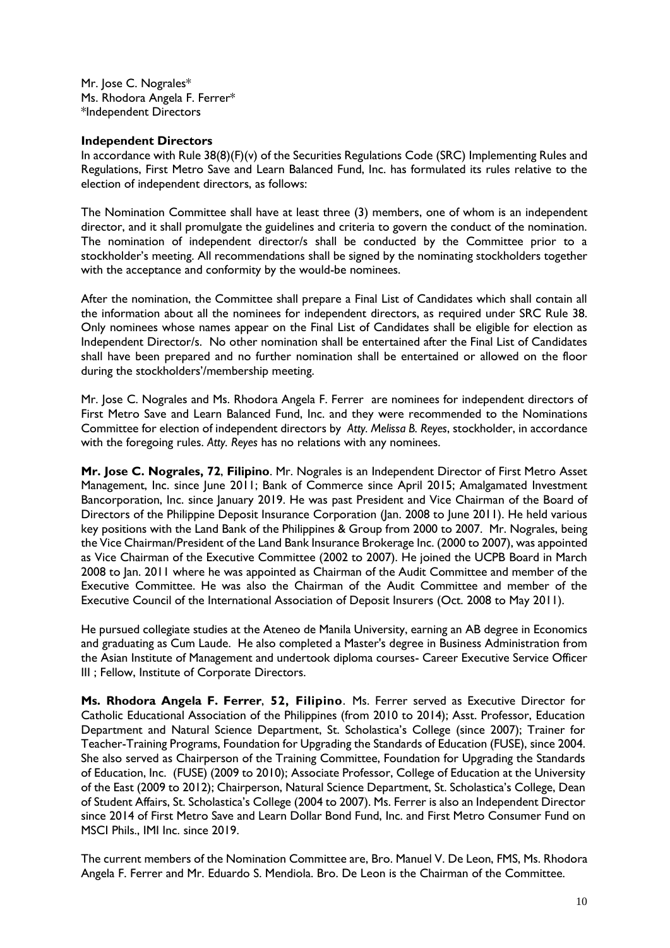Mr. Jose C. Nograles\* Ms. Rhodora Angela F. Ferrer\* \*Independent Directors

#### **Independent Directors**

In accordance with Rule 38(8)(F)(v) of the Securities Regulations Code (SRC) Implementing Rules and Regulations, First Metro Save and Learn Balanced Fund, Inc. has formulated its rules relative to the election of independent directors, as follows:

The Nomination Committee shall have at least three (3) members, one of whom is an independent director, and it shall promulgate the guidelines and criteria to govern the conduct of the nomination. The nomination of independent director/s shall be conducted by the Committee prior to a stockholder's meeting. All recommendations shall be signed by the nominating stockholders together with the acceptance and conformity by the would-be nominees.

After the nomination, the Committee shall prepare a Final List of Candidates which shall contain all the information about all the nominees for independent directors, as required under SRC Rule 38. Only nominees whose names appear on the Final List of Candidates shall be eligible for election as Independent Director/s. No other nomination shall be entertained after the Final List of Candidates shall have been prepared and no further nomination shall be entertained or allowed on the floor during the stockholders'/membership meeting.

Mr. Jose C. Nograles and Ms. Rhodora Angela F. Ferrer are nominees for independent directors of First Metro Save and Learn Balanced Fund, Inc. and they were recommended to the Nominations Committee for election of independent directors by *Atty. Melissa B. Reyes*, stockholder, in accordance with the foregoing rules. *Atty. Reyes* has no relations with any nominees.

**Mr. Jose C. Nograles, 72**, **Filipino**. Mr. Nograles is an Independent Director of First Metro Asset Management, Inc. since June 2011; Bank of Commerce since April 2015; Amalgamated Investment Bancorporation, Inc. since January 2019. He was past President and Vice Chairman of the Board of Directors of the Philippine Deposit Insurance Corporation (Jan. 2008 to June 2011). He held various key positions with the Land Bank of the Philippines & Group from 2000 to 2007. Mr. Nograles, being the Vice Chairman/President of the Land Bank Insurance Brokerage Inc. (2000 to 2007), was appointed as Vice Chairman of the Executive Committee (2002 to 2007). He joined the UCPB Board in March 2008 to Jan. 2011 where he was appointed as Chairman of the Audit Committee and member of the Executive Committee. He was also the Chairman of the Audit Committee and member of the Executive Council of the International Association of Deposit Insurers (Oct. 2008 to May 2011).

He pursued collegiate studies at the Ateneo de Manila University, earning an AB degree in Economics and graduating as Cum Laude. He also completed a Master's degree in Business Administration from the Asian Institute of Management and undertook diploma courses- Career Executive Service Officer III ; Fellow, Institute of Corporate Directors.

**Ms. Rhodora Angela F. Ferrer**, **52, Filipino**. Ms. Ferrer served as Executive Director for Catholic Educational Association of the Philippines (from 2010 to 2014); Asst. Professor, Education Department and Natural Science Department, St. Scholastica's College (since 2007); Trainer for Teacher-Training Programs, Foundation for Upgrading the Standards of Education (FUSE), since 2004. She also served as Chairperson of the Training Committee, Foundation for Upgrading the Standards of Education, Inc. (FUSE) (2009 to 2010); Associate Professor, College of Education at the University of the East (2009 to 2012); Chairperson, Natural Science Department, St. Scholastica's College, Dean of Student Affairs, St. Scholastica's College (2004 to 2007). Ms. Ferrer is also an Independent Director since 2014 of First Metro Save and Learn Dollar Bond Fund, Inc. and First Metro Consumer Fund on MSCI Phils., IMI Inc. since 2019.

The current members of the Nomination Committee are, Bro. Manuel V. De Leon, FMS, Ms. Rhodora Angela F. Ferrer and Mr. Eduardo S. Mendiola. Bro. De Leon is the Chairman of the Committee.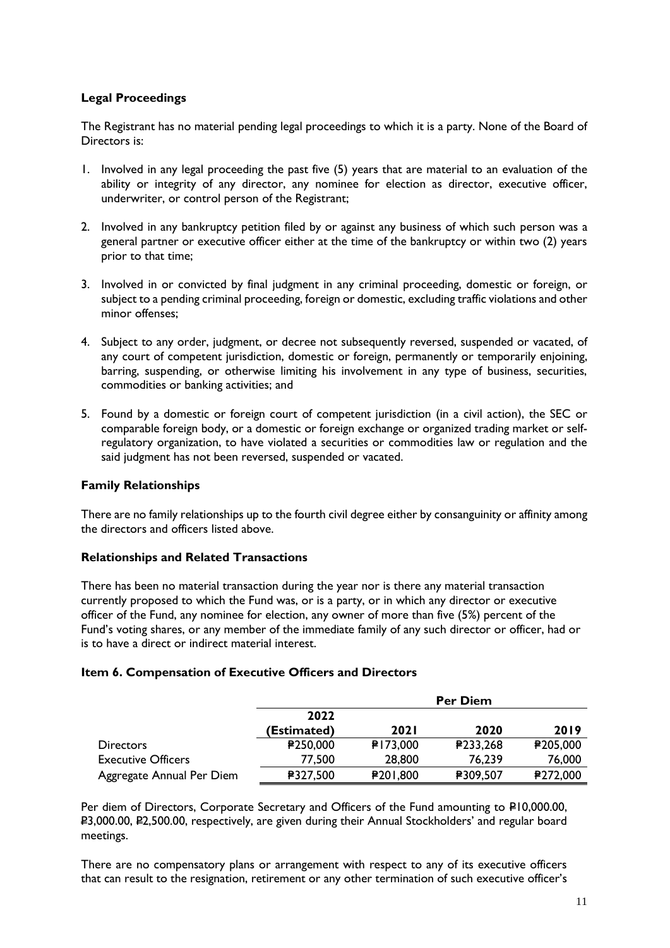# **Legal Proceedings**

The Registrant has no material pending legal proceedings to which it is a party. None of the Board of Directors is:

- 1. Involved in any legal proceeding the past five (5) years that are material to an evaluation of the ability or integrity of any director, any nominee for election as director, executive officer, underwriter, or control person of the Registrant;
- 2. Involved in any bankruptcy petition filed by or against any business of which such person was a general partner or executive officer either at the time of the bankruptcy or within two (2) years prior to that time;
- 3. Involved in or convicted by final judgment in any criminal proceeding, domestic or foreign, or subject to a pending criminal proceeding, foreign or domestic, excluding traffic violations and other minor offenses;
- 4. Subject to any order, judgment, or decree not subsequently reversed, suspended or vacated, of any court of competent jurisdiction, domestic or foreign, permanently or temporarily enjoining, barring, suspending, or otherwise limiting his involvement in any type of business, securities, commodities or banking activities; and
- 5. Found by a domestic or foreign court of competent jurisdiction (in a civil action), the SEC or comparable foreign body, or a domestic or foreign exchange or organized trading market or selfregulatory organization, to have violated a securities or commodities law or regulation and the said judgment has not been reversed, suspended or vacated.

# **Family Relationships**

There are no family relationships up to the fourth civil degree either by consanguinity or affinity among the directors and officers listed above.

# **Relationships and Related Transactions**

There has been no material transaction during the year nor is there any material transaction currently proposed to which the Fund was, or is a party, or in which any director or executive officer of the Fund, any nominee for election, any owner of more than five (5%) percent of the Fund's voting shares, or any member of the immediate family of any such director or officer, had or is to have a direct or indirect material interest.

#### **Item 6. Compensation of Executive Officers and Directors**

|                           | <b>Per Diem</b> |             |          |          |
|---------------------------|-----------------|-------------|----------|----------|
|                           | 2022            |             |          |          |
|                           | (Estimated)     | <b>2021</b> | 2020     | 2019     |
| <b>Directors</b>          | <b>£250,000</b> | ₽173,000    | P233,268 | ₽205,000 |
| <b>Executive Officers</b> | 77,500          | 28,800      | 76,239   | 76,000   |
| Aggregate Annual Per Diem | ₽327,500        | ₽201,800    | ₽309,507 | ₽272,000 |

Per diem of Directors, Corporate Secretary and Officers of the Fund amounting to P10,000.00, P3,000.00, P2,500.00, respectively, are given during their Annual Stockholders' and regular board meetings.

There are no compensatory plans or arrangement with respect to any of its executive officers that can result to the resignation, retirement or any other termination of such executive officer's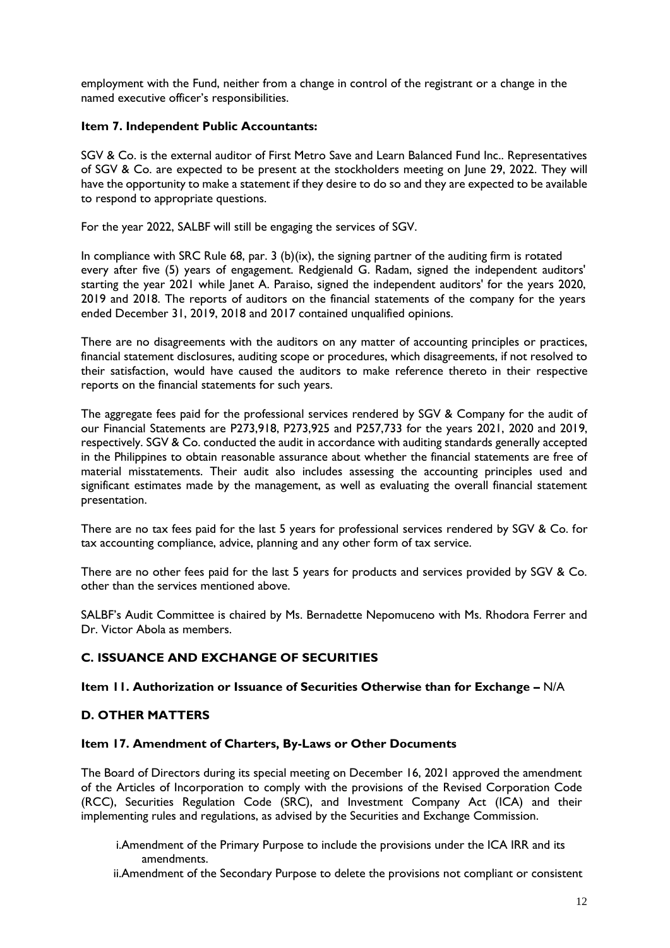employment with the Fund, neither from a change in control of the registrant or a change in the named executive officer's responsibilities.

## **Item 7. Independent Public Accountants:**

SGV & Co. is the external auditor of First Metro Save and Learn Balanced Fund Inc.. Representatives of SGV & Co. are expected to be present at the stockholders meeting on June 29, 2022. They will have the opportunity to make a statement if they desire to do so and they are expected to be available to respond to appropriate questions.

For the year 2022, SALBF will still be engaging the services of SGV.

In compliance with SRC Rule 68, par. 3 (b)(ix), the signing partner of the auditing firm is rotated every after five (5) years of engagement. Redgienald G. Radam, signed the independent auditors' starting the year 2021 while Janet A. Paraiso, signed the independent auditors' for the years 2020, 2019 and 2018. The reports of auditors on the financial statements of the company for the years ended December 31, 2019, 2018 and 2017 contained unqualified opinions.

There are no disagreements with the auditors on any matter of accounting principles or practices, financial statement disclosures, auditing scope or procedures, which disagreements, if not resolved to their satisfaction, would have caused the auditors to make reference thereto in their respective reports on the financial statements for such years.

The aggregate fees paid for the professional services rendered by SGV & Company for the audit of our Financial Statements are P273,918, P273,925 and P257,733 for the years 2021, 2020 and 2019, respectively. SGV & Co. conducted the audit in accordance with auditing standards generally accepted in the Philippines to obtain reasonable assurance about whether the financial statements are free of material misstatements. Their audit also includes assessing the accounting principles used and significant estimates made by the management, as well as evaluating the overall financial statement presentation.

There are no tax fees paid for the last 5 years for professional services rendered by SGV & Co. for tax accounting compliance, advice, planning and any other form of tax service.

There are no other fees paid for the last 5 years for products and services provided by SGV & Co. other than the services mentioned above.

SALBF's Audit Committee is chaired by Ms. Bernadette Nepomuceno with Ms. Rhodora Ferrer and Dr. Victor Abola as members.

# **C. ISSUANCE AND EXCHANGE OF SECURITIES**

## **Item 11. Authorization or Issuance of Securities Otherwise than for Exchange –** N/A

#### **D. OTHER MATTERS**

#### **Item 17. Amendment of Charters, By-Laws or Other Documents**

The Board of Directors during its special meeting on December 16, 2021 approved the amendment of the Articles of Incorporation to comply with the provisions of the Revised Corporation Code (RCC), Securities Regulation Code (SRC), and Investment Company Act (ICA) and their implementing rules and regulations, as advised by the Securities and Exchange Commission.

i.Amendment of the Primary Purpose to include the provisions under the ICA IRR and its amendments.

ii.Amendment of the Secondary Purpose to delete the provisions not compliant or consistent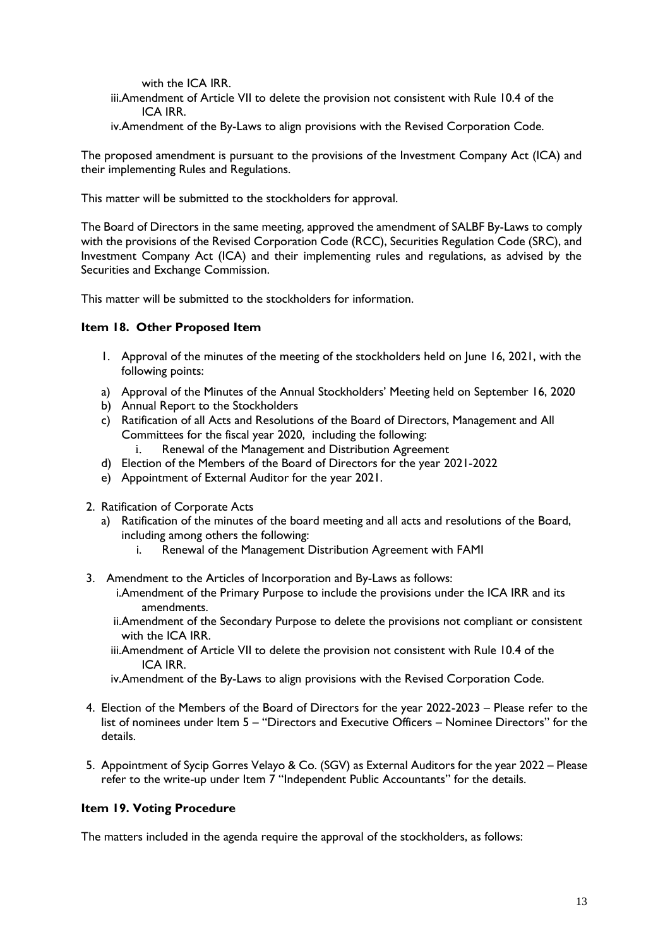with the ICA IRR.

iii.Amendment of Article VII to delete the provision not consistent with Rule 10.4 of the ICA IRR.

iv.Amendment of the By-Laws to align provisions with the Revised Corporation Code.

The proposed amendment is pursuant to the provisions of the Investment Company Act (ICA) and their implementing Rules and Regulations.

This matter will be submitted to the stockholders for approval.

The Board of Directors in the same meeting, approved the amendment of SALBF By-Laws to comply with the provisions of the Revised Corporation Code (RCC), Securities Regulation Code (SRC), and Investment Company Act (ICA) and their implementing rules and regulations, as advised by the Securities and Exchange Commission.

This matter will be submitted to the stockholders for information.

# **Item 18. Other Proposed Item**

- 1. Approval of the minutes of the meeting of the stockholders held on June 16, 2021, with the following points:
- a) Approval of the Minutes of the Annual Stockholders' Meeting held on September 16, 2020
- b) Annual Report to the Stockholders
- c) Ratification of all Acts and Resolutions of the Board of Directors, Management and All Committees for the fiscal year 2020, including the following:
	- i. Renewal of the Management and Distribution Agreement
- d) Election of the Members of the Board of Directors for the year 2021-2022
- e) Appointment of External Auditor for the year 2021.
- 2. Ratification of Corporate Acts
	- a) Ratification of the minutes of the board meeting and all acts and resolutions of the Board, including among others the following:
		- i. Renewal of the Management Distribution Agreement with FAMI
- 3. Amendment to the Articles of Incorporation and By-Laws as follows:
	- i.Amendment of the Primary Purpose to include the provisions under the ICA IRR and its amendments.

ii.Amendment of the Secondary Purpose to delete the provisions not compliant or consistent with the ICA IRR.

- iii.Amendment of Article VII to delete the provision not consistent with Rule 10.4 of the ICA IRR.
- iv.Amendment of the By-Laws to align provisions with the Revised Corporation Code.
- 4. Election of the Members of the Board of Directors for the year 2022-2023 Please refer to the list of nominees under Item 5 – "Directors and Executive Officers – Nominee Directors" for the details.
- 5. Appointment of Sycip Gorres Velayo & Co. (SGV) as External Auditors for the year 2022 Please refer to the write-up under Item 7 "Independent Public Accountants" for the details.

# **Item 19. Voting Procedure**

The matters included in the agenda require the approval of the stockholders, as follows: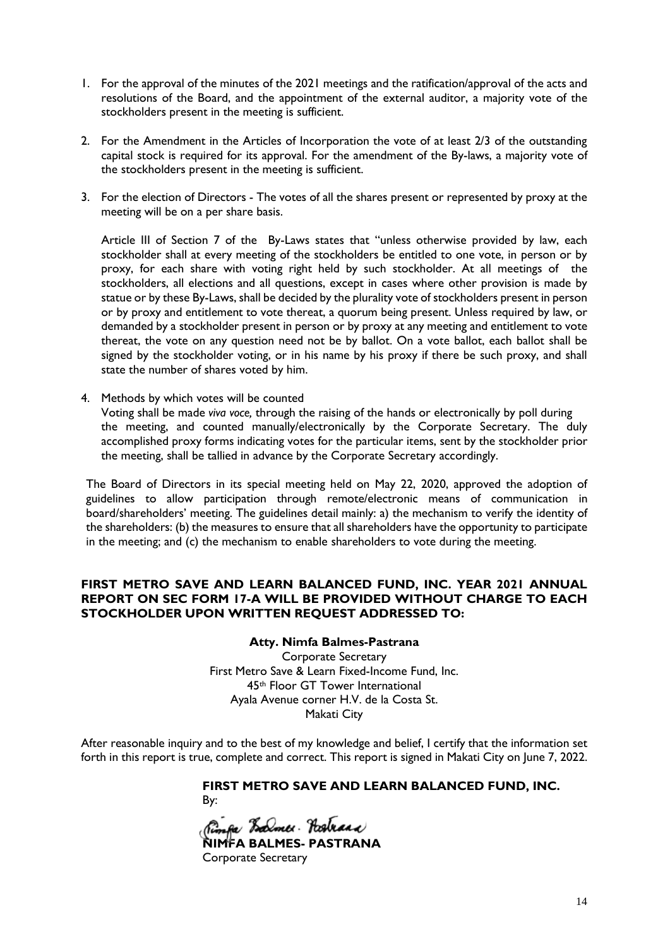- 1. For the approval of the minutes of the 2021 meetings and the ratification/approval of the acts and resolutions of the Board, and the appointment of the external auditor, a majority vote of the stockholders present in the meeting is sufficient.
- 2. For the Amendment in the Articles of Incorporation the vote of at least 2/3 of the outstanding capital stock is required for its approval. For the amendment of the By-laws, a majority vote of the stockholders present in the meeting is sufficient.
- 3. For the election of Directors The votes of all the shares present or represented by proxy at the meeting will be on a per share basis.

Article III of Section 7 of the By-Laws states that "unless otherwise provided by law, each stockholder shall at every meeting of the stockholders be entitled to one vote, in person or by proxy, for each share with voting right held by such stockholder. At all meetings of the stockholders, all elections and all questions, except in cases where other provision is made by statue or by these By-Laws, shall be decided by the plurality vote of stockholders present in person or by proxy and entitlement to vote thereat, a quorum being present. Unless required by law, or demanded by a stockholder present in person or by proxy at any meeting and entitlement to vote thereat, the vote on any question need not be by ballot. On a vote ballot, each ballot shall be signed by the stockholder voting, or in his name by his proxy if there be such proxy, and shall state the number of shares voted by him.

4. Methods by which votes will be counted Voting shall be made *viva voce,* through the raising of the hands or electronically by poll during the meeting, and counted manually/electronically by the Corporate Secretary. The duly accomplished proxy forms indicating votes for the particular items, sent by the stockholder prior the meeting, shall be tallied in advance by the Corporate Secretary accordingly.

The Board of Directors in its special meeting held on May 22, 2020, approved the adoption of guidelines to allow participation through remote/electronic means of communication in board/shareholders' meeting. The guidelines detail mainly: a) the mechanism to verify the identity of the shareholders: (b) the measures to ensure that all shareholders have the opportunity to participate in the meeting; and (c) the mechanism to enable shareholders to vote during the meeting.

# **FIRST METRO SAVE AND LEARN BALANCED FUND, INC. YEAR 2021 ANNUAL REPORT ON SEC FORM 17-A WILL BE PROVIDED WITHOUT CHARGE TO EACH STOCKHOLDER UPON WRITTEN REQUEST ADDRESSED TO:**

# **Atty. Nimfa Balmes-Pastrana**

Corporate Secretary First Metro Save & Learn Fixed-Income Fund, Inc. 45th Floor GT Tower International Ayala Avenue corner H.V. de la Costa St. Makati City

After reasonable inquiry and to the best of my knowledge and belief, I certify that the information set forth in this report is true, complete and correct. This report is signed in Makati City on June 7, 2022.

**FIRST METRO SAVE AND LEARN BALANCED FUND, INC.** 

**NIMFA BALMES- PASTRANA**  Corporate Secretary

By: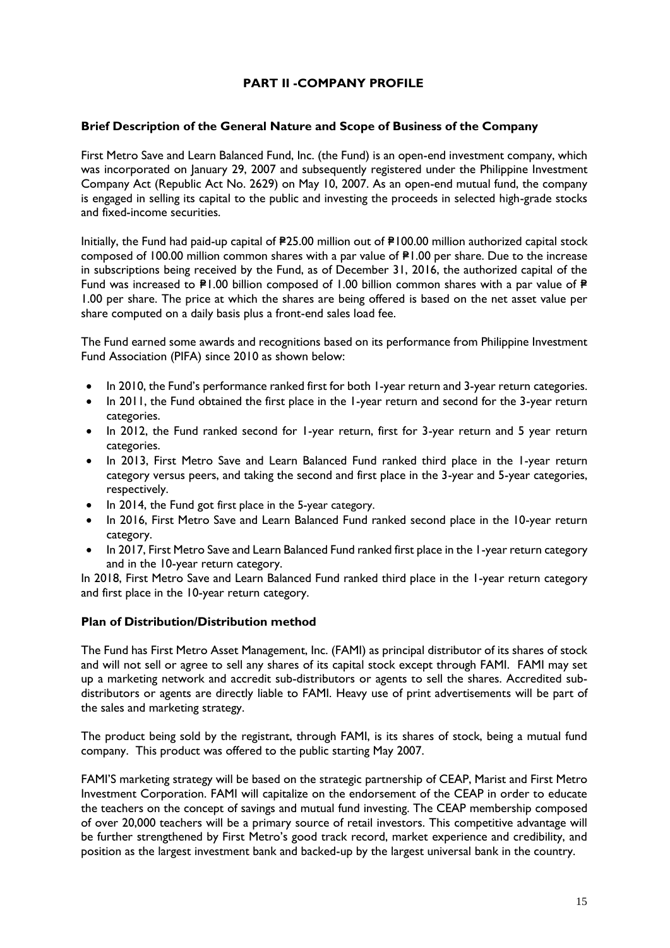# **PART II -COMPANY PROFILE**

## **Brief Description of the General Nature and Scope of Business of the Company**

First Metro Save and Learn Balanced Fund, Inc. (the Fund) is an open-end investment company, which was incorporated on January 29, 2007 and subsequently registered under the Philippine Investment Company Act (Republic Act No. 2629) on May 10, 2007. As an open-end mutual fund, the company is engaged in selling its capital to the public and investing the proceeds in selected high-grade stocks and fixed-income securities.

Initially, the Fund had paid-up capital of  $P25.00$  million out of  $P100.00$  million authorized capital stock composed of 100.00 million common shares with a par value of  $P1.00$  per share. Due to the increase in subscriptions being received by the Fund, as of December 31, 2016, the authorized capital of the Fund was increased to  $\mathbb{P}1.00$  billion composed of 1.00 billion common shares with a par value of  $\mathbb{P}$ 1.00 per share. The price at which the shares are being offered is based on the net asset value per share computed on a daily basis plus a front-end sales load fee.

The Fund earned some awards and recognitions based on its performance from Philippine Investment Fund Association (PIFA) since 2010 as shown below:

- In 2010, the Fund's performance ranked first for both 1-year return and 3-year return categories.
- In 2011, the Fund obtained the first place in the 1-year return and second for the 3-year return categories.
- In 2012, the Fund ranked second for 1-year return, first for 3-year return and 5 year return categories.
- In 2013, First Metro Save and Learn Balanced Fund ranked third place in the 1-year return category versus peers, and taking the second and first place in the 3-year and 5-year categories, respectively.
- In 2014, the Fund got first place in the 5-year category.
- In 2016, First Metro Save and Learn Balanced Fund ranked second place in the 10-year return category.
- In 2017, First Metro Save and Learn Balanced Fund ranked first place in the 1-year return category and in the 10-year return category.

In 2018, First Metro Save and Learn Balanced Fund ranked third place in the 1-year return category and first place in the 10-year return category.

#### **Plan of Distribution/Distribution method**

The Fund has First Metro Asset Management, Inc. (FAMI) as principal distributor of its shares of stock and will not sell or agree to sell any shares of its capital stock except through FAMI. FAMI may set up a marketing network and accredit sub-distributors or agents to sell the shares. Accredited subdistributors or agents are directly liable to FAMI. Heavy use of print advertisements will be part of the sales and marketing strategy.

The product being sold by the registrant, through FAMI, is its shares of stock, being a mutual fund company. This product was offered to the public starting May 2007.

FAMI'S marketing strategy will be based on the strategic partnership of CEAP, Marist and First Metro Investment Corporation. FAMI will capitalize on the endorsement of the CEAP in order to educate the teachers on the concept of savings and mutual fund investing. The CEAP membership composed of over 20,000 teachers will be a primary source of retail investors. This competitive advantage will be further strengthened by First Metro's good track record, market experience and credibility, and position as the largest investment bank and backed-up by the largest universal bank in the country.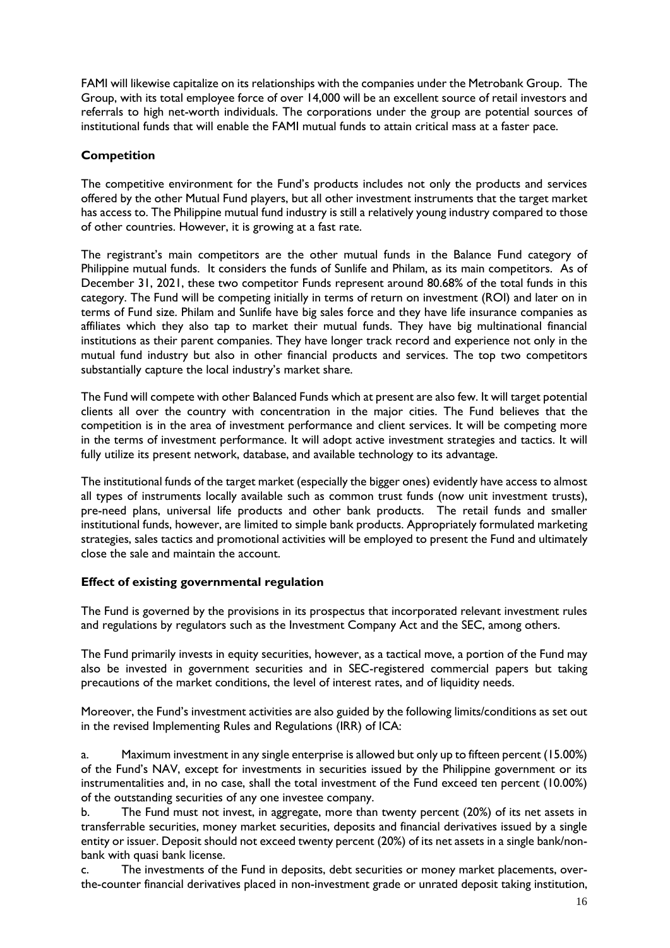FAMI will likewise capitalize on its relationships with the companies under the Metrobank Group. The Group, with its total employee force of over 14,000 will be an excellent source of retail investors and referrals to high net-worth individuals. The corporations under the group are potential sources of institutional funds that will enable the FAMI mutual funds to attain critical mass at a faster pace.

# **Competition**

The competitive environment for the Fund's products includes not only the products and services offered by the other Mutual Fund players, but all other investment instruments that the target market has access to. The Philippine mutual fund industry is still a relatively young industry compared to those of other countries. However, it is growing at a fast rate.

The registrant's main competitors are the other mutual funds in the Balance Fund category of Philippine mutual funds. It considers the funds of Sunlife and Philam, as its main competitors. As of December 31, 2021, these two competitor Funds represent around 80.68% of the total funds in this category. The Fund will be competing initially in terms of return on investment (ROI) and later on in terms of Fund size. Philam and Sunlife have big sales force and they have life insurance companies as affiliates which they also tap to market their mutual funds. They have big multinational financial institutions as their parent companies. They have longer track record and experience not only in the mutual fund industry but also in other financial products and services. The top two competitors substantially capture the local industry's market share.

The Fund will compete with other Balanced Funds which at present are also few. It will target potential clients all over the country with concentration in the major cities. The Fund believes that the competition is in the area of investment performance and client services. It will be competing more in the terms of investment performance. It will adopt active investment strategies and tactics. It will fully utilize its present network, database, and available technology to its advantage.

The institutional funds of the target market (especially the bigger ones) evidently have access to almost all types of instruments locally available such as common trust funds (now unit investment trusts), pre-need plans, universal life products and other bank products. The retail funds and smaller institutional funds, however, are limited to simple bank products. Appropriately formulated marketing strategies, sales tactics and promotional activities will be employed to present the Fund and ultimately close the sale and maintain the account.

# **Effect of existing governmental regulation**

The Fund is governed by the provisions in its prospectus that incorporated relevant investment rules and regulations by regulators such as the Investment Company Act and the SEC, among others.

The Fund primarily invests in equity securities, however, as a tactical move, a portion of the Fund may also be invested in government securities and in SEC-registered commercial papers but taking precautions of the market conditions, the level of interest rates, and of liquidity needs.

Moreover, the Fund's investment activities are also guided by the following limits/conditions as set out in the revised Implementing Rules and Regulations (IRR) of ICA:

a. Maximum investment in any single enterprise is allowed but only up to fifteen percent (15.00%) of the Fund's NAV, except for investments in securities issued by the Philippine government or its instrumentalities and, in no case, shall the total investment of the Fund exceed ten percent (10.00%) of the outstanding securities of any one investee company.

b. The Fund must not invest, in aggregate, more than twenty percent (20%) of its net assets in transferrable securities, money market securities, deposits and financial derivatives issued by a single entity or issuer. Deposit should not exceed twenty percent (20%) of its net assets in a single bank/nonbank with quasi bank license.

c. The investments of the Fund in deposits, debt securities or money market placements, overthe-counter financial derivatives placed in non-investment grade or unrated deposit taking institution,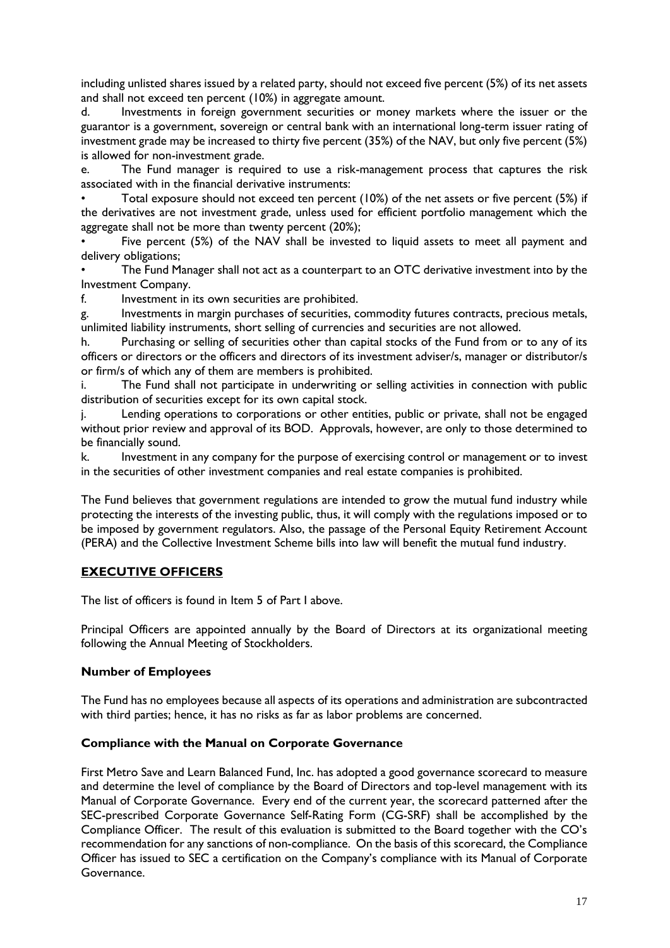including unlisted shares issued by a related party, should not exceed five percent (5%) of its net assets and shall not exceed ten percent (10%) in aggregate amount.

d. Investments in foreign government securities or money markets where the issuer or the guarantor is a government, sovereign or central bank with an international long-term issuer rating of investment grade may be increased to thirty five percent (35%) of the NAV, but only five percent (5%) is allowed for non-investment grade.

e. The Fund manager is required to use a risk-management process that captures the risk associated with in the financial derivative instruments:

• Total exposure should not exceed ten percent (10%) of the net assets or five percent (5%) if the derivatives are not investment grade, unless used for efficient portfolio management which the aggregate shall not be more than twenty percent (20%);

Five percent (5%) of the NAV shall be invested to liquid assets to meet all payment and delivery obligations;

The Fund Manager shall not act as a counterpart to an OTC derivative investment into by the Investment Company.

f. Investment in its own securities are prohibited.

g. Investments in margin purchases of securities, commodity futures contracts, precious metals, unlimited liability instruments, short selling of currencies and securities are not allowed.

h. Purchasing or selling of securities other than capital stocks of the Fund from or to any of its officers or directors or the officers and directors of its investment adviser/s, manager or distributor/s or firm/s of which any of them are members is prohibited.

i. The Fund shall not participate in underwriting or selling activities in connection with public distribution of securities except for its own capital stock.

j. Lending operations to corporations or other entities, public or private, shall not be engaged without prior review and approval of its BOD. Approvals, however, are only to those determined to be financially sound.

k. Investment in any company for the purpose of exercising control or management or to invest in the securities of other investment companies and real estate companies is prohibited.

The Fund believes that government regulations are intended to grow the mutual fund industry while protecting the interests of the investing public, thus, it will comply with the regulations imposed or to be imposed by government regulators. Also, the passage of the Personal Equity Retirement Account (PERA) and the Collective Investment Scheme bills into law will benefit the mutual fund industry.

## **EXECUTIVE OFFICERS**

The list of officers is found in Item 5 of Part I above.

Principal Officers are appointed annually by the Board of Directors at its organizational meeting following the Annual Meeting of Stockholders.

#### **Number of Employees**

The Fund has no employees because all aspects of its operations and administration are subcontracted with third parties; hence, it has no risks as far as labor problems are concerned.

#### **Compliance with the Manual on Corporate Governance**

First Metro Save and Learn Balanced Fund, Inc. has adopted a good governance scorecard to measure and determine the level of compliance by the Board of Directors and top-level management with its Manual of Corporate Governance. Every end of the current year, the scorecard patterned after the SEC-prescribed Corporate Governance Self-Rating Form (CG-SRF) shall be accomplished by the Compliance Officer. The result of this evaluation is submitted to the Board together with the CO's recommendation for any sanctions of non-compliance. On the basis of this scorecard, the Compliance Officer has issued to SEC a certification on the Company's compliance with its Manual of Corporate Governance.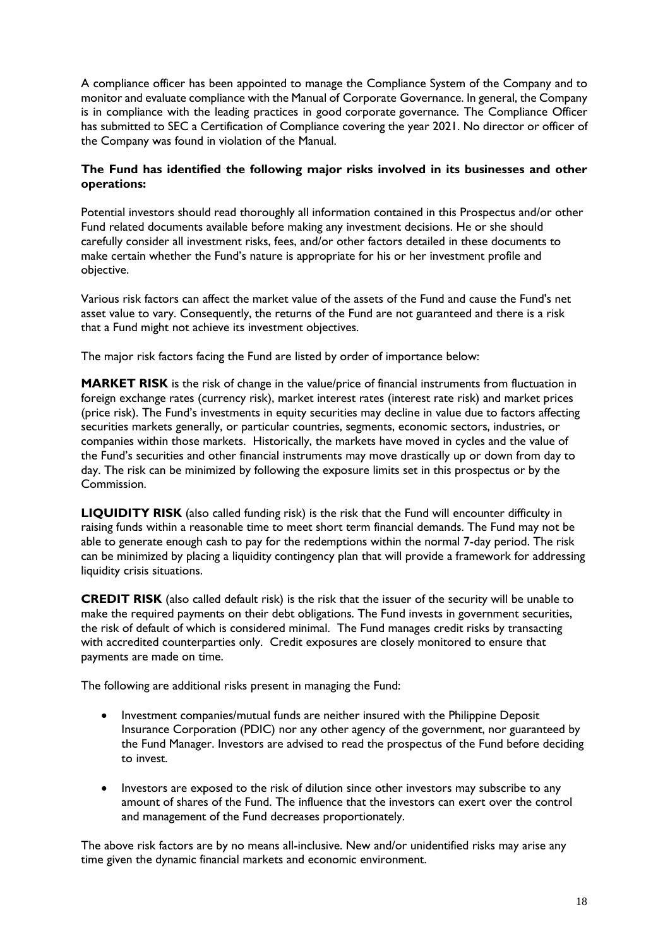A compliance officer has been appointed to manage the Compliance System of the Company and to monitor and evaluate compliance with the Manual of Corporate Governance. In general, the Company is in compliance with the leading practices in good corporate governance. The Compliance Officer has submitted to SEC a Certification of Compliance covering the year 2021. No director or officer of the Company was found in violation of the Manual.

# **The Fund has identified the following major risks involved in its businesses and other operations:**

Potential investors should read thoroughly all information contained in this Prospectus and/or other Fund related documents available before making any investment decisions. He or she should carefully consider all investment risks, fees, and/or other factors detailed in these documents to make certain whether the Fund's nature is appropriate for his or her investment profile and objective.

Various risk factors can affect the market value of the assets of the Fund and cause the Fund's net asset value to vary. Consequently, the returns of the Fund are not guaranteed and there is a risk that a Fund might not achieve its investment objectives.

The major risk factors facing the Fund are listed by order of importance below:

**MARKET RISK** is the risk of change in the value/price of financial instruments from fluctuation in foreign exchange rates (currency risk), market interest rates (interest rate risk) and market prices (price risk). The Fund's investments in equity securities may decline in value due to factors affecting securities markets generally, or particular countries, segments, economic sectors, industries, or companies within those markets. Historically, the markets have moved in cycles and the value of the Fund's securities and other financial instruments may move drastically up or down from day to day. The risk can be minimized by following the exposure limits set in this prospectus or by the Commission.

**LIQUIDITY RISK** (also called funding risk) is the risk that the Fund will encounter difficulty in raising funds within a reasonable time to meet short term financial demands. The Fund may not be able to generate enough cash to pay for the redemptions within the normal 7-day period. The risk can be minimized by placing a liquidity contingency plan that will provide a framework for addressing liquidity crisis situations.

**CREDIT RISK** (also called default risk) is the risk that the issuer of the security will be unable to make the required payments on their debt obligations. The Fund invests in government securities, the risk of default of which is considered minimal. The Fund manages credit risks by transacting with accredited counterparties only. Credit exposures are closely monitored to ensure that payments are made on time.

The following are additional risks present in managing the Fund:

- Investment companies/mutual funds are neither insured with the Philippine Deposit Insurance Corporation (PDIC) nor any other agency of the government, nor guaranteed by the Fund Manager. Investors are advised to read the prospectus of the Fund before deciding to invest.
- Investors are exposed to the risk of dilution since other investors may subscribe to any amount of shares of the Fund. The influence that the investors can exert over the control and management of the Fund decreases proportionately.

The above risk factors are by no means all-inclusive. New and/or unidentified risks may arise any time given the dynamic financial markets and economic environment.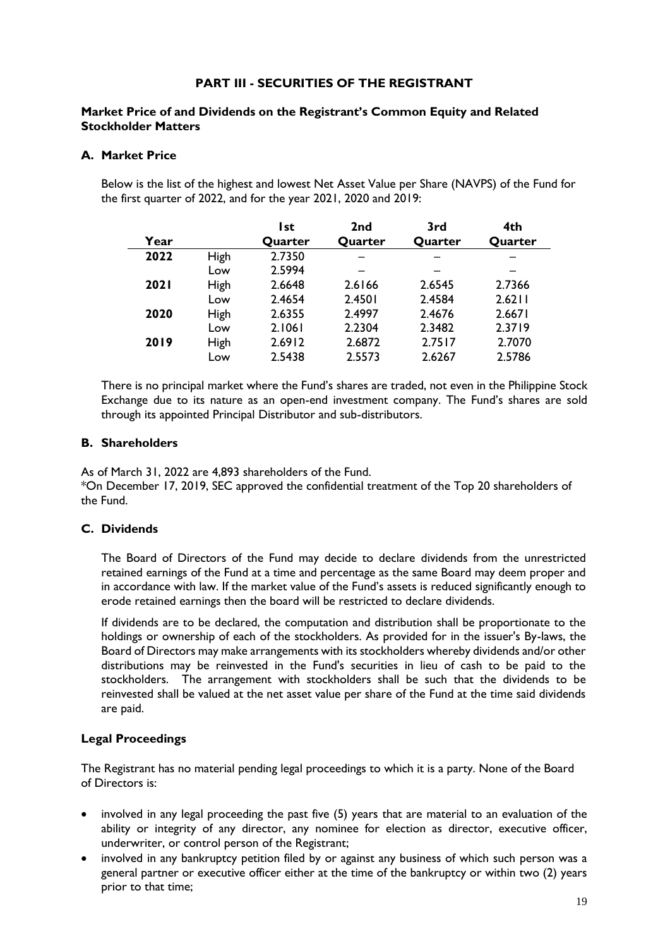# **PART III - SECURITIES OF THE REGISTRANT**

## **Market Price of and Dividends on the Registrant's Common Equity and Related Stockholder Matters**

## **A. Market Price**

Below is the list of the highest and lowest Net Asset Value per Share (NAVPS) of the Fund for the first quarter of 2022, and for the year 2021, 2020 and 2019:

|             |      | l st    | 2 <sub>nd</sub> | 3rd     | 4th     |
|-------------|------|---------|-----------------|---------|---------|
| Year        |      | Quarter | Quarter         | Quarter | Quarter |
| 2022        | High | 2.7350  |                 |         |         |
|             | Low  | 2.5994  |                 |         |         |
| <b>2021</b> | High | 2.6648  | 2.6166          | 2.6545  | 2.7366  |
|             | Low  | 2.4654  | 2.4501          | 2.4584  | 2.6211  |
| 2020        | High | 2.6355  | 2.4997          | 2.4676  | 2.6671  |
|             | Low  | 2.1061  | 2.2304          | 2.3482  | 2.3719  |
| 2019        | High | 2.6912  | 2.6872          | 2.7517  | 2.7070  |
|             | Low  | 2.5438  | 2.5573          | 2.6267  | 2.5786  |

There is no principal market where the Fund's shares are traded, not even in the Philippine Stock Exchange due to its nature as an open-end investment company. The Fund's shares are sold through its appointed Principal Distributor and sub-distributors.

## **B. Shareholders**

As of March 31, 2022 are 4,893 shareholders of the Fund.

\*On December 17, 2019, SEC approved the confidential treatment of the Top 20 shareholders of the Fund.

# **C. Dividends**

The Board of Directors of the Fund may decide to declare dividends from the unrestricted retained earnings of the Fund at a time and percentage as the same Board may deem proper and in accordance with law. If the market value of the Fund's assets is reduced significantly enough to erode retained earnings then the board will be restricted to declare dividends.

If dividends are to be declared, the computation and distribution shall be proportionate to the holdings or ownership of each of the stockholders. As provided for in the issuer's By-laws, the Board of Directors may make arrangements with its stockholders whereby dividends and/or other distributions may be reinvested in the Fund's securities in lieu of cash to be paid to the stockholders. The arrangement with stockholders shall be such that the dividends to be reinvested shall be valued at the net asset value per share of the Fund at the time said dividends are paid.

# **Legal Proceedings**

The Registrant has no material pending legal proceedings to which it is a party. None of the Board of Directors is:

- involved in any legal proceeding the past five (5) years that are material to an evaluation of the ability or integrity of any director, any nominee for election as director, executive officer, underwriter, or control person of the Registrant;
- involved in any bankruptcy petition filed by or against any business of which such person was a general partner or executive officer either at the time of the bankruptcy or within two (2) years prior to that time;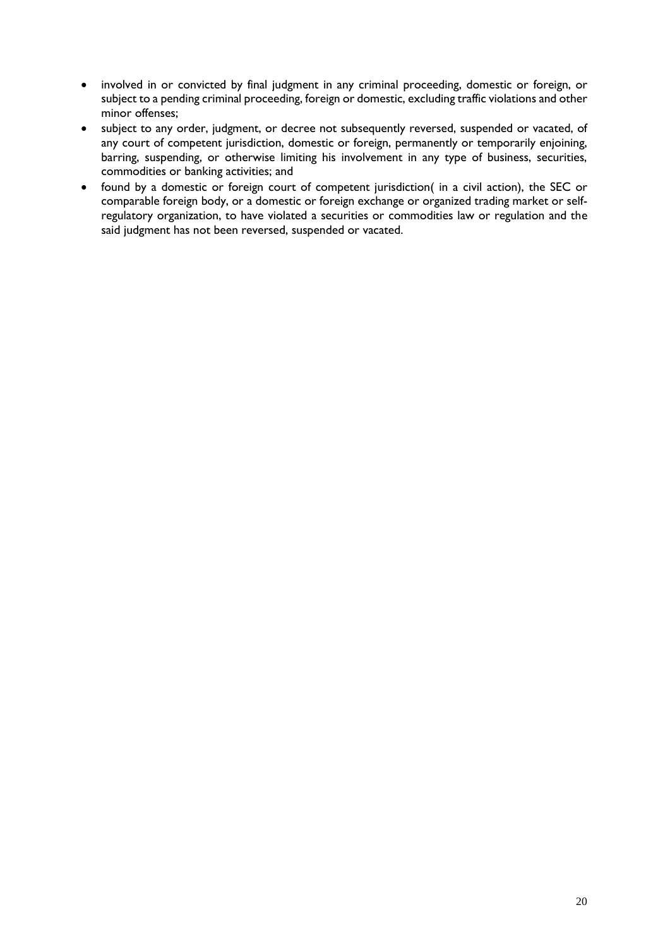- involved in or convicted by final judgment in any criminal proceeding, domestic or foreign, or subject to a pending criminal proceeding, foreign or domestic, excluding traffic violations and other minor offenses;
- subject to any order, judgment, or decree not subsequently reversed, suspended or vacated, of any court of competent jurisdiction, domestic or foreign, permanently or temporarily enjoining, barring, suspending, or otherwise limiting his involvement in any type of business, securities, commodities or banking activities; and
- found by a domestic or foreign court of competent jurisdiction( in a civil action), the SEC or comparable foreign body, or a domestic or foreign exchange or organized trading market or selfregulatory organization, to have violated a securities or commodities law or regulation and the said judgment has not been reversed, suspended or vacated.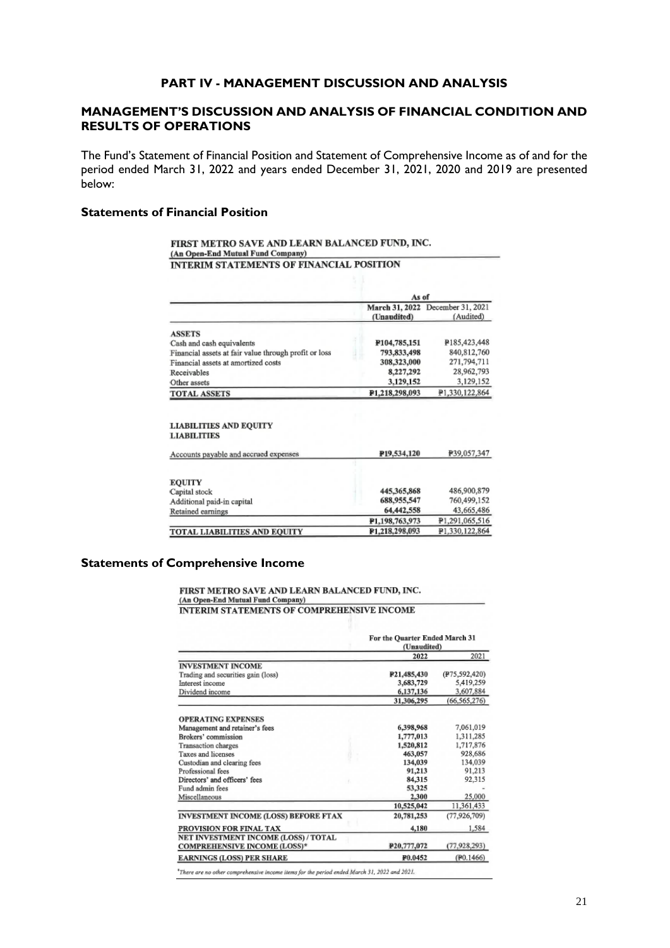## **PART IV - MANAGEMENT DISCUSSION AND ANALYSIS**

# **MANAGEMENT'S DISCUSSION AND ANALYSIS OF FINANCIAL CONDITION AND RESULTS OF OPERATIONS**

The Fund's Statement of Financial Position and Statement of Comprehensive Income as of and for the period ended March 31, 2022 and years ended December 31, 2021, 2020 and 2019 are presented below:

## **Statements of Financial Position**

#### FIRST METRO SAVE AND LEARN BALANCED FUND, INC. (An Open-End Mutual Fund Company) **INTERIM STATEMENTS OF FINANCIAL POSITION**

|                                                       |                | As of                                         |  |  |
|-------------------------------------------------------|----------------|-----------------------------------------------|--|--|
|                                                       | (Unaudited)    | March 31, 2022 December 31, 2021<br>(Audited) |  |  |
| <b>ASSETS</b>                                         |                |                                               |  |  |
| Cash and cash equivalents                             | ¥104,785,151   | P185,423,448                                  |  |  |
| Financial assets at fair value through profit or loss | 793,833,498    | 840, 812, 760                                 |  |  |
| Financial assets at amortized costs                   | 308,323,000    | 271,794,711                                   |  |  |
| Receivables                                           | 8,227,292      | 28,962,793                                    |  |  |
| Other assets                                          | 3,129,152      | 3,129,152                                     |  |  |
| <b>TOTAL ASSETS</b>                                   | P1.218.298.093 | P1,330,122,864                                |  |  |

#### **LIABILITIES AND EQUITY LIABILITIES**

| P <sub>19</sub> ,534,120 | P39,057,347    |
|--------------------------|----------------|
|                          |                |
|                          |                |
| 445,365,868              | 486,900,879    |
| 688,955,547              | 760,499,152    |
| 64,442,558               | 43,665,486     |
| P1.198,763,973           | P1,291,065,516 |
| P1.218,298,093           | P1.330.122.864 |
|                          |                |

#### **Statements of Comprehensive Income**

#### FIRST METRO SAVE AND LEARN BALANCED FUND, INC. (An Open-End Mutual Fund Company) **INTERIM STATEMENTS OF COMPREHENSIVE INCOME**

|                                      |             | For the Quarter Ended March 31<br>(Unaudited) |  |
|--------------------------------------|-------------|-----------------------------------------------|--|
|                                      | 2022        | 2021                                          |  |
| <b>INVESTMENT INCOME</b>             |             |                                               |  |
| Trading and securities gain (loss)   | P21,485,430 | (P75,592,420)                                 |  |
| Interest income                      | 3,683,729   | 5,419,259                                     |  |
| Dividend income                      | 6,137,136   | 3,607.884                                     |  |
|                                      | 31,306,295  | (66, 565, 276)                                |  |
| <b>OPERATING EXPENSES</b>            |             |                                               |  |
| Management and retainer's fees       | 6,398,968   | 7,061,019                                     |  |
| Brokers' commission                  | 1,777,013   | 1,311,285                                     |  |
| Transaction charges                  | 1,520,812   | 1,717,876                                     |  |
| Taxes and licenses                   | 463,057     | 928,686                                       |  |
| Custodian and clearing fees          | 134,039     | 134,039                                       |  |
| Professional fees                    | 91,213      | 91.213                                        |  |
| Directors' and officers' fees        | 84,315      | 92,315                                        |  |
| Fund admin fees                      | 53,325      |                                               |  |
| Miscellaneous                        | 2,300       | 25,000                                        |  |
|                                      | 10,525,042  | 11,361,433                                    |  |
| INVESTMENT INCOME (LOSS) BEFORE FTAX | 20,781,253  | (77, 926, 709)                                |  |
| PROVISION FOR FINAL TAX              | 4,180       | 1,584                                         |  |
| NET INVESTMENT INCOME (LOSS) / TOTAL |             |                                               |  |
| <b>COMPREHENSIVE INCOME (LOSS)*</b>  | P20,777,072 | (77, 928, 293)                                |  |
| <b>EARNINGS (LOSS) PER SHARE</b>     | P0.0452     | (F0.1466)                                     |  |

\*There are no other comprehensive income items for the period ended March 31, 2022 and 2021.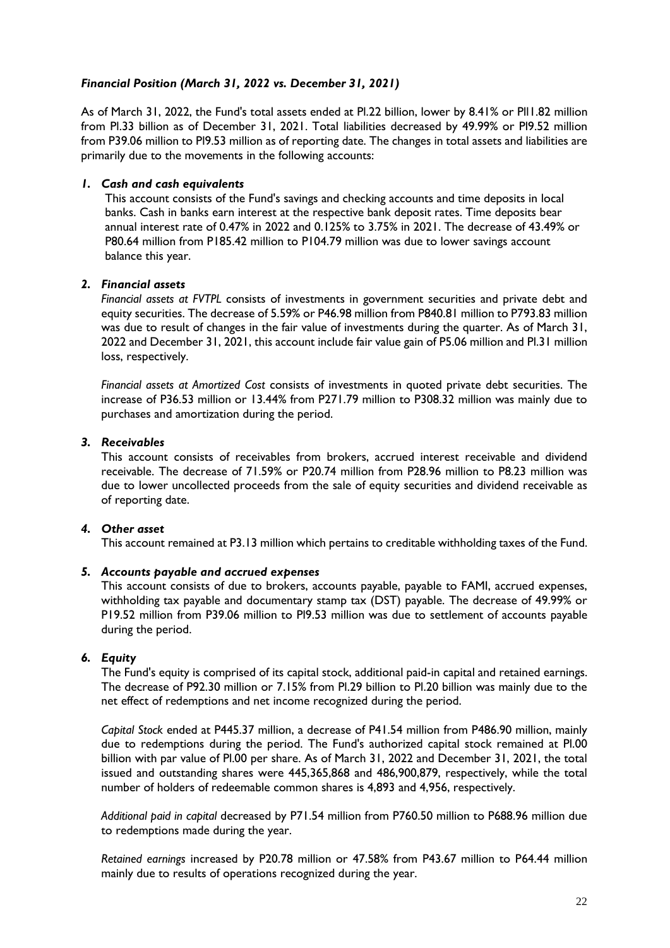# *Financial Position (March 31, 2022 vs. December 31, 2021)*

As of March 31, 2022, the Fund's total assets ended at Pl.22 billion, lower by 8.41% or Pll1.82 million from Pl.33 billion as of December 31, 2021. Total liabilities decreased by 49.99% or Pl9.52 million from P39.06 million to Pl9.53 million as of reporting date. The changes in total assets and liabilities are primarily due to the movements in the following accounts:

## *1. Cash and cash equivalents*

This account consists of the Fund's savings and checking accounts and time deposits in local banks. Cash in banks earn interest at the respective bank deposit rates. Time deposits bear annual interest rate of 0.47% in 2022 and 0.125% to 3.75% in 2021. The decrease of 43.49% or P80.64 million from P185.42 million to P104.79 million was due to lower savings account balance this year.

## *2. Financial assets*

*Financial assets at FVTPL* consists of investments in government securities and private debt and equity securities. The decrease of 5.59% or P46.98 million from P840.81 million to P793.83 million was due to result of changes in the fair value of investments during the quarter. As of March 31, 2022 and December 31, 2021, this account include fair value gain of P5.06 million and Pl.31 million loss, respectively.

*Financial assets at Amortized Cost* consists of investments in quoted private debt securities. The increase of P36.53 million or 13.44% from P271.79 million to P308.32 million was mainly due to purchases and amortization during the period.

## *3. Receivables*

This account consists of receivables from brokers, accrued interest receivable and dividend receivable. The decrease of 71.59% or P20.74 million from P28.96 million to P8.23 million was due to lower uncollected proceeds from the sale of equity securities and dividend receivable as of reporting date.

#### *4. Other asset*

This account remained at P3.13 million which pertains to creditable withholding taxes of the Fund.

#### *5. Accounts payable and accrued expenses*

This account consists of due to brokers, accounts payable, payable to FAMI, accrued expenses, withholding tax payable and documentary stamp tax (DST) payable. The decrease of 49.99% or P19.52 million from P39.06 million to Pl9.53 million was due to settlement of accounts payable during the period.

## *6. Equity*

The Fund's equity is comprised of its capital stock, additional paid-in capital and retained earnings. The decrease of P92.30 million or 7.15% from Pl.29 billion to Pl.20 billion was mainly due to the net effect of redemptions and net income recognized during the period.

*Capital Stock* ended at P445.37 million, a decrease of P41.54 million from P486.90 million, mainly due to redemptions during the period. The Fund's authorized capital stock remained at Pl.00 billion with par value of Pl.00 per share. As of March 31, 2022 and December 31, 2021, the total issued and outstanding shares were 445,365,868 and 486,900,879, respectively, while the total number of holders of redeemable common shares is 4,893 and 4,956, respectively.

*Additional paid in capital* decreased by P71.54 million from P760.50 million to P688.96 million due to redemptions made during the year.

*Retained earnings* increased by P20.78 million or 47.58% from P43.67 million to P64.44 million mainly due to results of operations recognized during the year.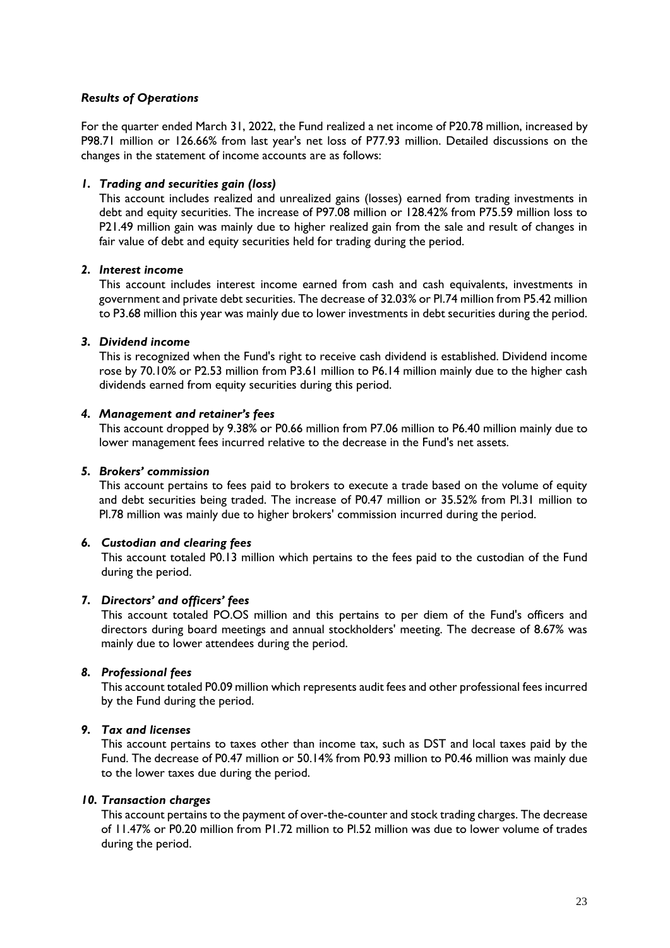## *Results of Operations*

For the quarter ended March 31, 2022, the Fund realized a net income of P20.78 million, increased by P98.71 million or 126.66% from last year's net loss of P77.93 million. Detailed discussions on the changes in the statement of income accounts are as follows:

## *1. Trading and securities gain (loss)*

This account includes realized and unrealized gains (losses) earned from trading investments in debt and equity securities. The increase of P97.08 million or 128.42% from P75.59 million loss to P21.49 million gain was mainly due to higher realized gain from the sale and result of changes in fair value of debt and equity securities held for trading during the period.

#### *2. Interest income*

This account includes interest income earned from cash and cash equivalents, investments in government and private debt securities. The decrease of 32.03% or Pl.74 million from P5.42 million to P3.68 million this year was mainly due to lower investments in debt securities during the period.

#### *3. Dividend income*

This is recognized when the Fund's right to receive cash dividend is established. Dividend income rose by 70.10% or P2.53 million from P3.61 million to P6.14 million mainly due to the higher cash dividends earned from equity securities during this period.

#### *4. Management and retainer's fees*

This account dropped by 9.38% or P0.66 million from P7.06 million to P6.40 million mainly due to lower management fees incurred relative to the decrease in the Fund's net assets.

#### *5. Brokers' commission*

This account pertains to fees paid to brokers to execute a trade based on the volume of equity and debt securities being traded. The increase of P0.47 million or 35.52% from Pl.31 million to Pl.78 million was mainly due to higher brokers' commission incurred during the period.

#### *6. Custodian and clearing fees*

This account totaled P0.13 million which pertains to the fees paid to the custodian of the Fund during the period.

#### *7. Directors' and officers' fees*

This account totaled PO.OS million and this pertains to per diem of the Fund's officers and directors during board meetings and annual stockholders' meeting. The decrease of 8.67% was mainly due to lower attendees during the period.

#### *8. Professional fees*

This account totaled P0.09 million which represents audit fees and other professional fees incurred by the Fund during the period.

#### *9. Tax and licenses*

This account pertains to taxes other than income tax, such as DST and local taxes paid by the Fund. The decrease of P0.47 million or 50.14% from P0.93 million to P0.46 million was mainly due to the lower taxes due during the period.

#### *10. Transaction charges*

This account pertains to the payment of over-the-counter and stock trading charges. The decrease of 11.47% or P0.20 million from P1.72 million to Pl.52 million was due to lower volume of trades during the period.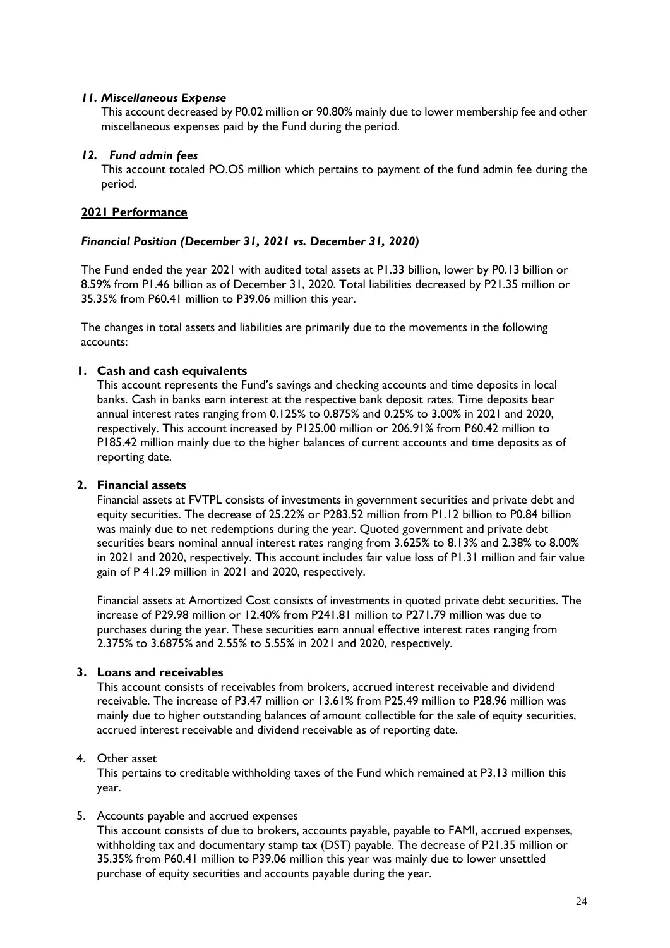## *11. Miscellaneous Expense*

This account decreased by P0.02 million or 90.80% mainly due to lower membership fee and other miscellaneous expenses paid by the Fund during the period.

#### *12. Fund admin fees*

This account totaled PO.OS million which pertains to payment of the fund admin fee during the period.

## **2021 Performance**

## *Financial Position (December 31, 2021 vs. December 31, 2020)*

The Fund ended the year 2021 with audited total assets at P1.33 billion, lower by P0.13 billion or 8.59% from P1.46 billion as of December 31, 2020. Total liabilities decreased by P21.35 million or 35.35% from P60.41 million to P39.06 million this year.

The changes in total assets and liabilities are primarily due to the movements in the following accounts:

## **1. Cash and cash equivalents**

This account represents the Fund's savings and checking accounts and time deposits in local banks. Cash in banks earn interest at the respective bank deposit rates. Time deposits bear annual interest rates ranging from 0.125% to 0.875% and 0.25% to 3.00% in 2021 and 2020, respectively. This account increased by P125.00 million or 206.91% from P60.42 million to P185.42 million mainly due to the higher balances of current accounts and time deposits as of reporting date.

# **2. Financial assets**

Financial assets at FVTPL consists of investments in government securities and private debt and equity securities. The decrease of 25.22% or P283.52 million from P1.12 billion to P0.84 billion was mainly due to net redemptions during the year. Quoted government and private debt securities bears nominal annual interest rates ranging from 3.625% to 8.13% and 2.38% to 8.00% in 2021 and 2020, respectively. This account includes fair value loss of P1.31 million and fair value gain of P 41.29 million in 2021 and 2020, respectively.

Financial assets at Amortized Cost consists of investments in quoted private debt securities. The increase of P29.98 million or 12.40% from P241.81 million to P271.79 million was due to purchases during the year. These securities earn annual effective interest rates ranging from 2.375% to 3.6875% and 2.55% to 5.55% in 2021 and 2020, respectively.

# **3. Loans and receivables**

This account consists of receivables from brokers, accrued interest receivable and dividend receivable. The increase of P3.47 million or 13.61% from P25.49 million to P28.96 million was mainly due to higher outstanding balances of amount collectible for the sale of equity securities, accrued interest receivable and dividend receivable as of reporting date.

#### 4. Other asset

This pertains to creditable withholding taxes of the Fund which remained at P3.13 million this year.

#### 5. Accounts payable and accrued expenses

This account consists of due to brokers, accounts payable, payable to FAMI, accrued expenses, withholding tax and documentary stamp tax (DST) payable. The decrease of P21.35 million or 35.35% from P60.41 million to P39.06 million this year was mainly due to lower unsettled purchase of equity securities and accounts payable during the year.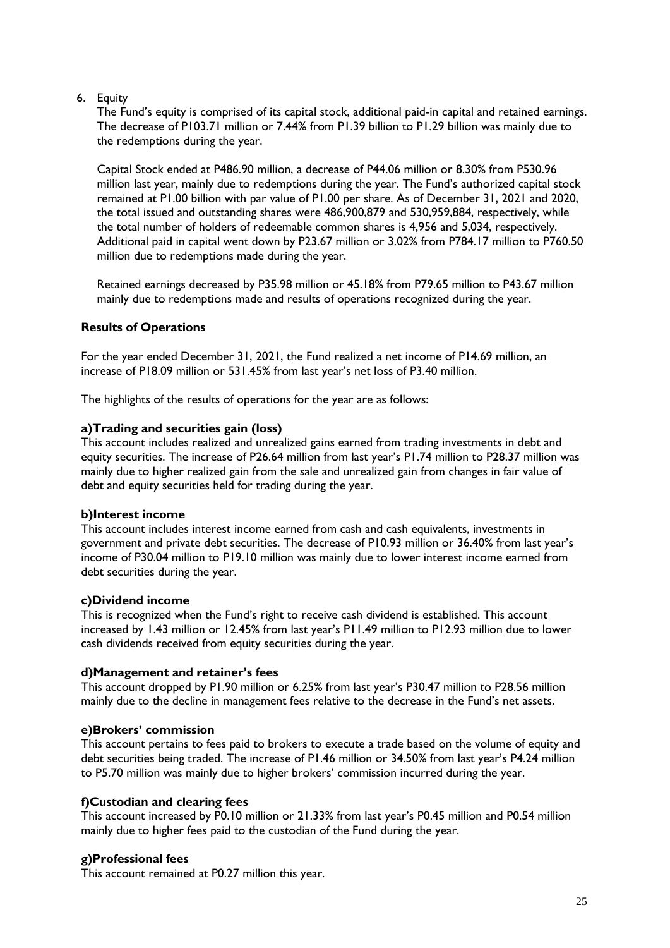6. Equity

The Fund's equity is comprised of its capital stock, additional paid-in capital and retained earnings. The decrease of P103.71 million or 7.44% from P1.39 billion to P1.29 billion was mainly due to the redemptions during the year.

Capital Stock ended at P486.90 million, a decrease of P44.06 million or 8.30% from P530.96 million last year, mainly due to redemptions during the year. The Fund's authorized capital stock remained at P1.00 billion with par value of P1.00 per share. As of December 31, 2021 and 2020, the total issued and outstanding shares were 486,900,879 and 530,959,884, respectively, while the total number of holders of redeemable common shares is 4,956 and 5,034, respectively. Additional paid in capital went down by P23.67 million or 3.02% from P784.17 million to P760.50 million due to redemptions made during the year.

Retained earnings decreased by P35.98 million or 45.18% from P79.65 million to P43.67 million mainly due to redemptions made and results of operations recognized during the year.

# **Results of Operations**

For the year ended December 31, 2021, the Fund realized a net income of P14.69 million, an increase of P18.09 million or 531.45% from last year's net loss of P3.40 million.

The highlights of the results of operations for the year are as follows:

## **a)Trading and securities gain (loss)**

This account includes realized and unrealized gains earned from trading investments in debt and equity securities. The increase of P26.64 million from last year's P1.74 million to P28.37 million was mainly due to higher realized gain from the sale and unrealized gain from changes in fair value of debt and equity securities held for trading during the year.

#### **b)Interest income**

This account includes interest income earned from cash and cash equivalents, investments in government and private debt securities. The decrease of P10.93 million or 36.40% from last year's income of P30.04 million to P19.10 million was mainly due to lower interest income earned from debt securities during the year.

# **c)Dividend income**

This is recognized when the Fund's right to receive cash dividend is established. This account increased by 1.43 million or 12.45% from last year's P11.49 million to P12.93 million due to lower cash dividends received from equity securities during the year.

#### **d)Management and retainer's fees**

This account dropped by P1.90 million or 6.25% from last year's P30.47 million to P28.56 million mainly due to the decline in management fees relative to the decrease in the Fund's net assets.

# **e)Brokers' commission**

This account pertains to fees paid to brokers to execute a trade based on the volume of equity and debt securities being traded. The increase of P1.46 million or 34.50% from last year's P4.24 million to P5.70 million was mainly due to higher brokers' commission incurred during the year.

# **f)Custodian and clearing fees**

This account increased by P0.10 million or 21.33% from last year's P0.45 million and P0.54 million mainly due to higher fees paid to the custodian of the Fund during the year.

# **g)Professional fees**

This account remained at P0.27 million this year.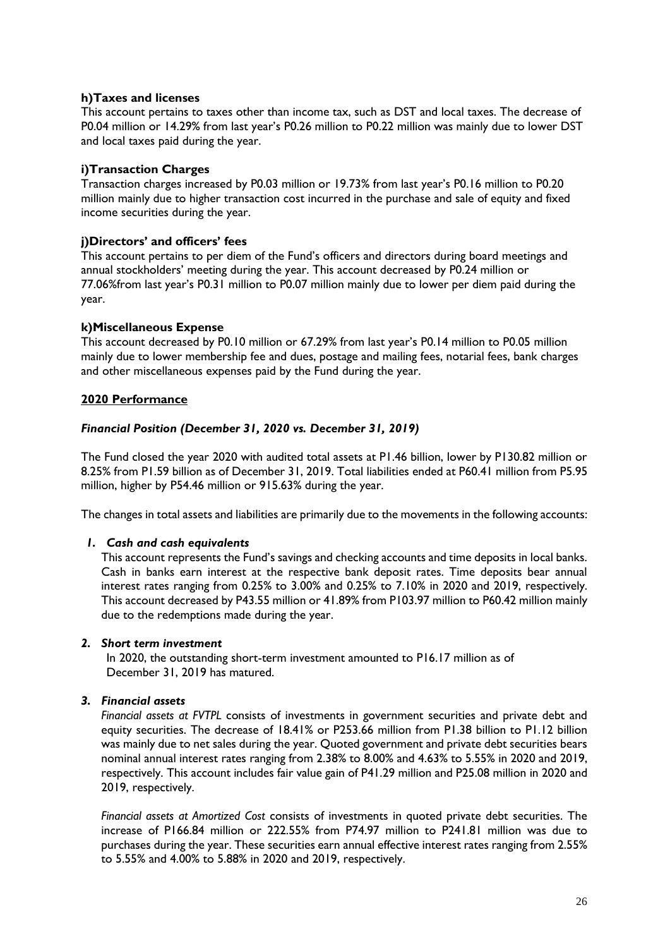## **h)Taxes and licenses**

This account pertains to taxes other than income tax, such as DST and local taxes. The decrease of P0.04 million or 14.29% from last year's P0.26 million to P0.22 million was mainly due to lower DST and local taxes paid during the year.

## **i)Transaction Charges**

Transaction charges increased by P0.03 million or 19.73% from last year's P0.16 million to P0.20 million mainly due to higher transaction cost incurred in the purchase and sale of equity and fixed income securities during the year.

## **j)Directors' and officers' fees**

This account pertains to per diem of the Fund's officers and directors during board meetings and annual stockholders' meeting during the year. This account decreased by P0.24 million or 77.06%from last year's P0.31 million to P0.07 million mainly due to lower per diem paid during the year.

## **k)Miscellaneous Expense**

This account decreased by P0.10 million or 67.29% from last year's P0.14 million to P0.05 million mainly due to lower membership fee and dues, postage and mailing fees, notarial fees, bank charges and other miscellaneous expenses paid by the Fund during the year.

## **2020 Performance**

## *Financial Position (December 31, 2020 vs. December 31, 2019)*

The Fund closed the year 2020 with audited total assets at P1.46 billion, lower by P130.82 million or 8.25% from P1.59 billion as of December 31, 2019. Total liabilities ended at P60.41 million from P5.95 million, higher by P54.46 million or 915.63% during the year.

The changes in total assets and liabilities are primarily due to the movements in the following accounts:

#### *1. Cash and cash equivalents*

This account represents the Fund's savings and checking accounts and time deposits in local banks. Cash in banks earn interest at the respective bank deposit rates. Time deposits bear annual interest rates ranging from 0.25% to 3.00% and 0.25% to 7.10% in 2020 and 2019, respectively. This account decreased by P43.55 million or 41.89% from P103.97 million to P60.42 million mainly due to the redemptions made during the year.

#### *2. Short term investment*

In 2020, the outstanding short-term investment amounted to P16.17 million as of December 31, 2019 has matured.

#### *3. Financial assets*

*Financial assets at FVTPL* consists of investments in government securities and private debt and equity securities. The decrease of 18.41% or P253.66 million from P1.38 billion to P1.12 billion was mainly due to net sales during the year. Quoted government and private debt securities bears nominal annual interest rates ranging from 2.38% to 8.00% and 4.63% to 5.55% in 2020 and 2019, respectively. This account includes fair value gain of P41.29 million and P25.08 million in 2020 and 2019, respectively.

*Financial assets at Amortized Cost* consists of investments in quoted private debt securities. The increase of P166.84 million or 222.55% from P74.97 million to P241.81 million was due to purchases during the year. These securities earn annual effective interest rates ranging from 2.55% to 5.55% and 4.00% to 5.88% in 2020 and 2019, respectively.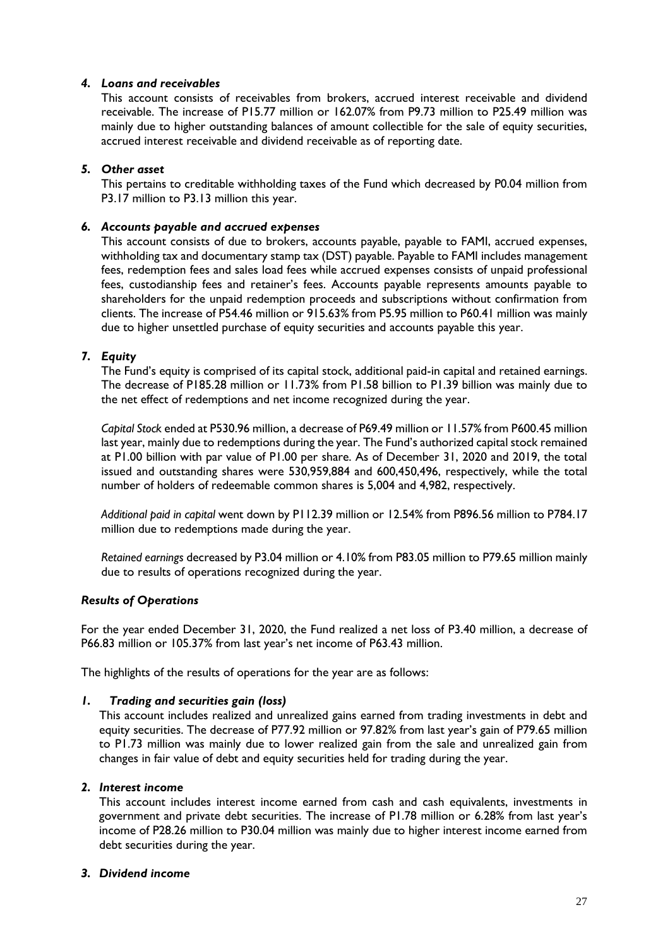## *4. Loans and receivables*

This account consists of receivables from brokers, accrued interest receivable and dividend receivable. The increase of P15.77 million or 162.07% from P9.73 million to P25.49 million was mainly due to higher outstanding balances of amount collectible for the sale of equity securities, accrued interest receivable and dividend receivable as of reporting date.

## *5. Other asset*

This pertains to creditable withholding taxes of the Fund which decreased by P0.04 million from P3.17 million to P3.13 million this year.

## *6. Accounts payable and accrued expenses*

This account consists of due to brokers, accounts payable, payable to FAMI, accrued expenses, withholding tax and documentary stamp tax (DST) payable. Payable to FAMI includes management fees, redemption fees and sales load fees while accrued expenses consists of unpaid professional fees, custodianship fees and retainer's fees. Accounts payable represents amounts payable to shareholders for the unpaid redemption proceeds and subscriptions without confirmation from clients. The increase of P54.46 million or 915.63% from P5.95 million to P60.41 million was mainly due to higher unsettled purchase of equity securities and accounts payable this year.

## *7. Equity*

The Fund's equity is comprised of its capital stock, additional paid-in capital and retained earnings. The decrease of P185.28 million or 11.73% from P1.58 billion to P1.39 billion was mainly due to the net effect of redemptions and net income recognized during the year.

*Capital Stock* ended at P530.96 million, a decrease of P69.49 million or 11.57% from P600.45 million last year, mainly due to redemptions during the year. The Fund's authorized capital stock remained at P1.00 billion with par value of P1.00 per share. As of December 31, 2020 and 2019, the total issued and outstanding shares were 530,959,884 and 600,450,496, respectively, while the total number of holders of redeemable common shares is 5,004 and 4,982, respectively.

*Additional paid in capital* went down by P112.39 million or 12.54% from P896.56 million to P784.17 million due to redemptions made during the year.

*Retained earnings* decreased by P3.04 million or 4.10% from P83.05 million to P79.65 million mainly due to results of operations recognized during the year.

#### *Results of Operations*

For the year ended December 31, 2020, the Fund realized a net loss of P3.40 million, a decrease of P66.83 million or 105.37% from last year's net income of P63.43 million.

The highlights of the results of operations for the year are as follows:

#### *1. Trading and securities gain (loss)*

This account includes realized and unrealized gains earned from trading investments in debt and equity securities. The decrease of P77.92 million or 97.82% from last year's gain of P79.65 million to P1.73 million was mainly due to lower realized gain from the sale and unrealized gain from changes in fair value of debt and equity securities held for trading during the year.

#### *2. Interest income*

This account includes interest income earned from cash and cash equivalents, investments in government and private debt securities. The increase of P1.78 million or 6.28% from last year's income of P28.26 million to P30.04 million was mainly due to higher interest income earned from debt securities during the year.

#### *3. Dividend income*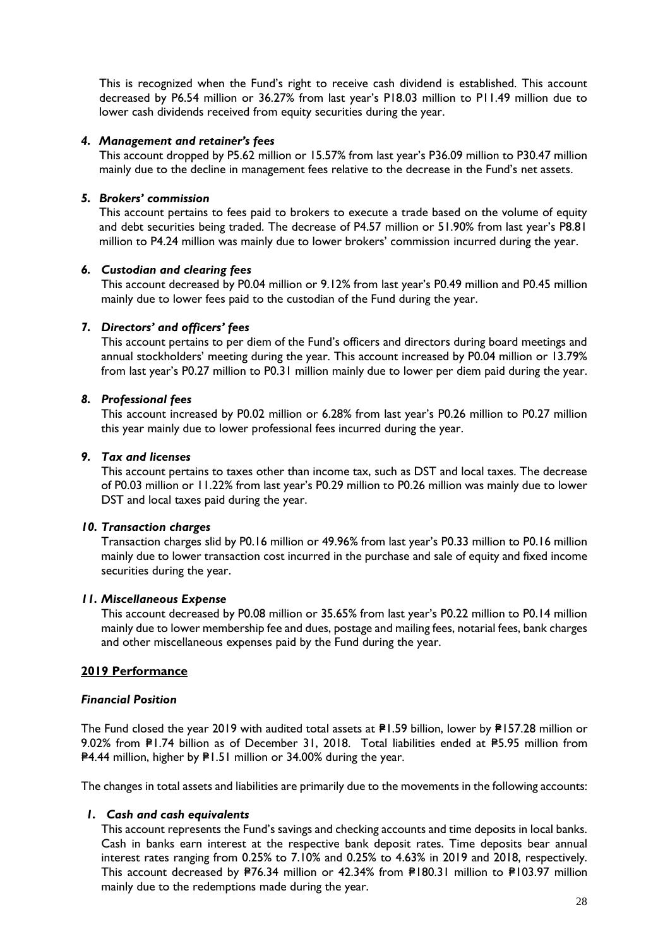This is recognized when the Fund's right to receive cash dividend is established. This account decreased by P6.54 million or 36.27% from last year's P18.03 million to P11.49 million due to lower cash dividends received from equity securities during the year.

## *4. Management and retainer's fees*

This account dropped by P5.62 million or 15.57% from last year's P36.09 million to P30.47 million mainly due to the decline in management fees relative to the decrease in the Fund's net assets.

## *5. Brokers' commission*

This account pertains to fees paid to brokers to execute a trade based on the volume of equity and debt securities being traded. The decrease of P4.57 million or 51.90% from last year's P8.81 million to P4.24 million was mainly due to lower brokers' commission incurred during the year.

## *6. Custodian and clearing fees*

This account decreased by P0.04 million or 9.12% from last year's P0.49 million and P0.45 million mainly due to lower fees paid to the custodian of the Fund during the year.

## *7. Directors' and officers' fees*

This account pertains to per diem of the Fund's officers and directors during board meetings and annual stockholders' meeting during the year. This account increased by P0.04 million or 13.79% from last year's P0.27 million to P0.31 million mainly due to lower per diem paid during the year.

## *8. Professional fees*

This account increased by P0.02 million or 6.28% from last year's P0.26 million to P0.27 million this year mainly due to lower professional fees incurred during the year.

## *9. Tax and licenses*

This account pertains to taxes other than income tax, such as DST and local taxes. The decrease of P0.03 million or 11.22% from last year's P0.29 million to P0.26 million was mainly due to lower DST and local taxes paid during the year.

#### *10. Transaction charges*

Transaction charges slid by P0.16 million or 49.96% from last year's P0.33 million to P0.16 million mainly due to lower transaction cost incurred in the purchase and sale of equity and fixed income securities during the year.

#### *11. Miscellaneous Expense*

This account decreased by P0.08 million or 35.65% from last year's P0.22 million to P0.14 million mainly due to lower membership fee and dues, postage and mailing fees, notarial fees, bank charges and other miscellaneous expenses paid by the Fund during the year.

## **2019 Performance**

#### *Financial Position*

The Fund closed the year 2019 with audited total assets at  $PI.59$  billion, lower by  $PI57.28$  million or 9.02% from P1.74 billion as of December 31, 2018. Total liabilities ended at P5.95 million from P4.44 million, higher by P1.51 million or 34.00% during the year.

The changes in total assets and liabilities are primarily due to the movements in the following accounts:

## *1. Cash and cash equivalents*

This account represents the Fund's savings and checking accounts and time deposits in local banks. Cash in banks earn interest at the respective bank deposit rates. Time deposits bear annual interest rates ranging from 0.25% to 7.10% and 0.25% to 4.63% in 2019 and 2018, respectively. This account decreased by P76.34 million or 42.34% from P180.31 million to P103.97 million mainly due to the redemptions made during the year.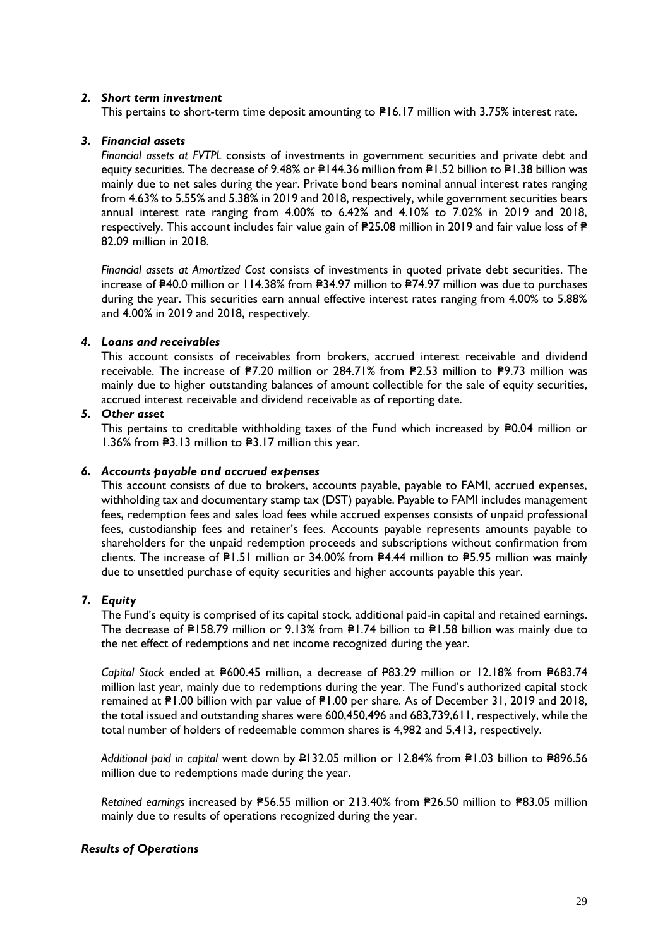## *2. Short term investment*

This pertains to short-term time deposit amounting to P16.17 million with 3.75% interest rate.

## *3. Financial assets*

*Financial assets at FVTPL* consists of investments in government securities and private debt and equity securities. The decrease of 9.48% or  $P144.36$  million from P1.52 billion to P1.38 billion was mainly due to net sales during the year. Private bond bears nominal annual interest rates ranging from 4.63% to 5.55% and 5.38% in 2019 and 2018, respectively, while government securities bears annual interest rate ranging from 4.00% to 6.42% and 4.10% to 7.02% in 2019 and 2018, respectively. This account includes fair value gain of  $P25.08$  million in 2019 and fair value loss of  $P$ 82.09 million in 2018.

*Financial assets at Amortized Cost* consists of investments in quoted private debt securities. The increase of  $240.0$  million or 114.38% from  $234.97$  million to  $274.97$  million was due to purchases during the year. This securities earn annual effective interest rates ranging from 4.00% to 5.88% and 4.00% in 2019 and 2018, respectively.

#### *4. Loans and receivables*

This account consists of receivables from brokers, accrued interest receivable and dividend receivable. The increase of P7.20 million or 284.71% from P2.53 million to P9.73 million was mainly due to higher outstanding balances of amount collectible for the sale of equity securities, accrued interest receivable and dividend receivable as of reporting date.

# *5. Other asset*

This pertains to creditable withholding taxes of the Fund which increased by  $P0.04$  million or 1.36% from  $\textsf{P}3.13$  million to  $\textsf{P}3.17$  million this year.

#### *6. Accounts payable and accrued expenses*

This account consists of due to brokers, accounts payable, payable to FAMI, accrued expenses, withholding tax and documentary stamp tax (DST) payable. Payable to FAMI includes management fees, redemption fees and sales load fees while accrued expenses consists of unpaid professional fees, custodianship fees and retainer's fees. Accounts payable represents amounts payable to shareholders for the unpaid redemption proceeds and subscriptions without confirmation from clients. The increase of P1.51 million or 34.00% from P4.44 million to P5.95 million was mainly due to unsettled purchase of equity securities and higher accounts payable this year.

# *7. Equity*

The Fund's equity is comprised of its capital stock, additional paid-in capital and retained earnings. The decrease of  $PI58.79$  million or  $9.13\%$  from  $PI.74$  billion to  $PI.58$  billion was mainly due to the net effect of redemptions and net income recognized during the year.

*Capital Stock* ended at  $P600.45$  million, a decrease of  $P83.29$  million or 12.18% from  $P683.74$ million last year, mainly due to redemptions during the year. The Fund's authorized capital stock remained at  $P1.00$  billion with par value of  $P1.00$  per share. As of December 31, 2019 and 2018, the total issued and outstanding shares were 600,450,496 and 683,739,611, respectively, while the total number of holders of redeemable common shares is 4,982 and 5,413, respectively.

Additional paid in capital went down by P132.05 million or 12.84% from P1.03 billion to P896.56 million due to redemptions made during the year.

Retained earnings increased by P56.55 million or 213.40% from P26.50 million to P83.05 million mainly due to results of operations recognized during the year.

# *Results of Operations*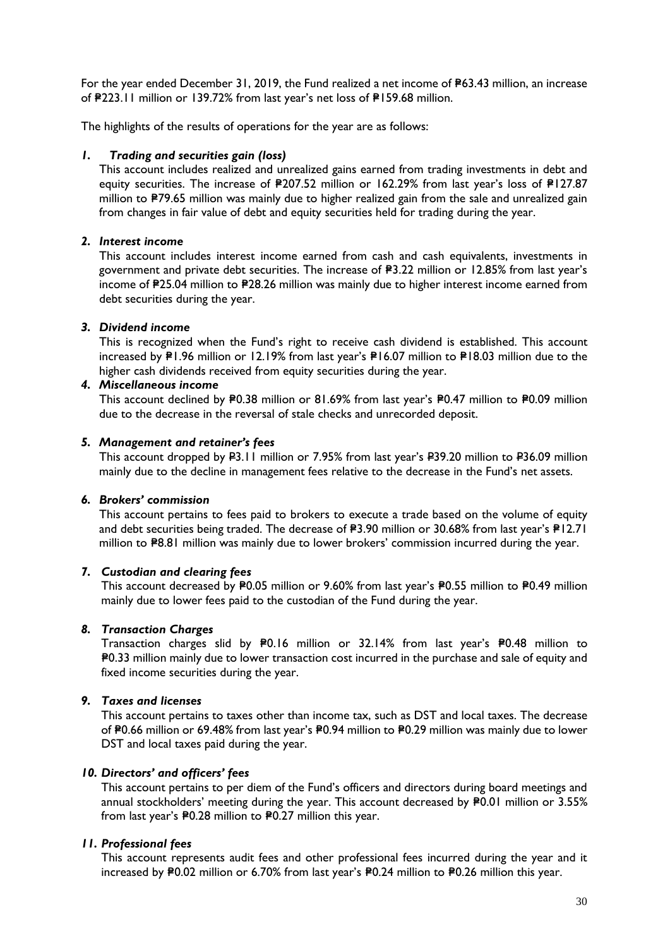For the year ended December 31, 2019, the Fund realized a net income of  $P63.43$  million, an increase of #223.11 million or 139.72% from last year's net loss of #159.68 million.

The highlights of the results of operations for the year are as follows:

#### *1. Trading and securities gain (loss)*

This account includes realized and unrealized gains earned from trading investments in debt and equity securities. The increase of P207.52 million or 162.29% from last year's loss of P127.87 million to P79.65 million was mainly due to higher realized gain from the sale and unrealized gain from changes in fair value of debt and equity securities held for trading during the year.

## *2. Interest income*

This account includes interest income earned from cash and cash equivalents, investments in government and private debt securities. The increase of  $\texttt{P3.22}$  million or 12.85% from last year's income of P25.04 million to P28.26 million was mainly due to higher interest income earned from debt securities during the year.

#### *3. Dividend income*

This is recognized when the Fund's right to receive cash dividend is established. This account increased by  $PI.96$  million or 12.19% from last year's  $PI6.07$  million to  $PI8.03$  million due to the higher cash dividends received from equity securities during the year.

#### *4. Miscellaneous income*

This account declined by P0.38 million or 81.69% from last year's P0.47 million to P0.09 million due to the decrease in the reversal of stale checks and unrecorded deposit.

#### *5. Management and retainer's fees*

This account dropped by P3.11 million or 7.95% from last year's P39.20 million to P36.09 million mainly due to the decline in management fees relative to the decrease in the Fund's net assets.

#### *6. Brokers' commission*

This account pertains to fees paid to [brokers](http://financial-dictionary.thefreedictionary.com/Broker) to [execute](http://financial-dictionary.thefreedictionary.com/Execution) a [trade](http://financial-dictionary.thefreedictionary.com/Trade) based on the volume of equity and debt securities being traded. The decrease of P3.90 million or 30.68% from last year's P12.71 million to P8.81 million was mainly due to lower brokers' commission incurred during the year.

## *7. Custodian and clearing fees*

This account decreased by P0.05 million or 9.60% from last year's P0.55 million to P0.49 million mainly due to lower fees paid to the custodian of the Fund during the year.

#### *8. Transaction Charges*

Transaction charges slid by P0.16 million or 32.14% from last year's P0.48 million to =P0.33 million mainly due to lower transaction cost incurred in the purchase and sale of equity and fixed income securities during the year.

#### *9. Taxes and licenses*

This account pertains to taxes other than income tax, such as DST and local taxes. The decrease of P0.66 million or 69.48% from last year's P0.94 million to P0.29 million was mainly due to lower DST and local taxes paid during the year.

## *10. Directors' and officers' fees*

This account pertains to per diem of the Fund's officers and directors during board meetings and annual stockholders' meeting during the year. This account decreased by P0.01 million or 3.55% from last year's P0.28 million to P0.27 million this year.

#### *11. Professional fees*

This account represents audit fees and other professional fees incurred during the year and it increased by P0.02 million or 6.70% from last year's P0.24 million to P0.26 million this year.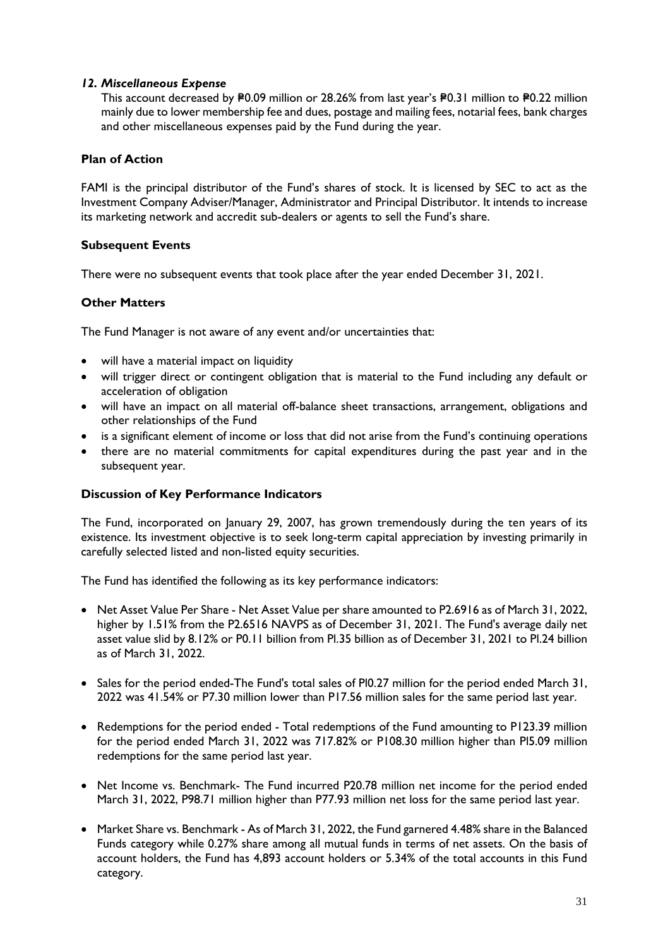## *12. Miscellaneous Expense*

This account decreased by  $P0.09$  million or 28.26% from last year's  $P0.31$  million to  $P0.22$  million mainly due to lower membership fee and dues, postage and mailing fees, notarial fees, bank charges and other miscellaneous expenses paid by the Fund during the year.

## **Plan of Action**

FAMI is the principal distributor of the Fund's shares of stock. It is licensed by SEC to act as the Investment Company Adviser/Manager, Administrator and Principal Distributor. It intends to increase its marketing network and accredit sub-dealers or agents to sell the Fund's share.

## **Subsequent Events**

There were no subsequent events that took place after the year ended December 31, 2021.

## **Other Matters**

The Fund Manager is not aware of any event and/or uncertainties that:

- will have a material impact on liquidity
- will trigger direct or contingent obligation that is material to the Fund including any default or acceleration of obligation
- will have an impact on all material off-balance sheet transactions, arrangement, obligations and other relationships of the Fund
- is a significant element of income or loss that did not arise from the Fund's continuing operations
- there are no material commitments for capital expenditures during the past year and in the subsequent year.

#### **Discussion of Key Performance Indicators**

The Fund, incorporated on January 29, 2007, has grown tremendously during the ten years of its existence. Its investment objective is to seek long-term capital appreciation by investing primarily in carefully selected listed and non-listed equity securities.

The Fund has identified the following as its key performance indicators:

- Net Asset Value Per Share Net Asset Value per share amounted to P2.6916 as of March 31, 2022, higher by 1.51% from the P2.6516 NAVPS as of December 31, 2021. The Fund's average daily net asset value slid by 8.12% or P0.11 billion from Pl.35 billion as of December 31, 2021 to Pl.24 billion as of March 31, 2022.
- Sales for the period ended-The Fund's total sales of Pl0.27 million for the period ended March 31, 2022 was 41.54% or P7.30 million lower than P17.56 million sales for the same period last year.
- Redemptions for the period ended Total redemptions of the Fund amounting to P123.39 million for the period ended March 31, 2022 was 717.82% or P108.30 million higher than Pl5.09 million redemptions for the same period last year.
- Net Income vs. Benchmark- The Fund incurred P20.78 million net income for the period ended March 31, 2022, P98.71 million higher than P77.93 million net loss for the same period last year.
- Market Share vs. Benchmark As of March 31, 2022, the Fund garnered 4.48% share in the Balanced Funds category while 0.27% share among all mutual funds in terms of net assets. On the basis of account holders, the Fund has 4,893 account holders or 5.34% of the total accounts in this Fund category.